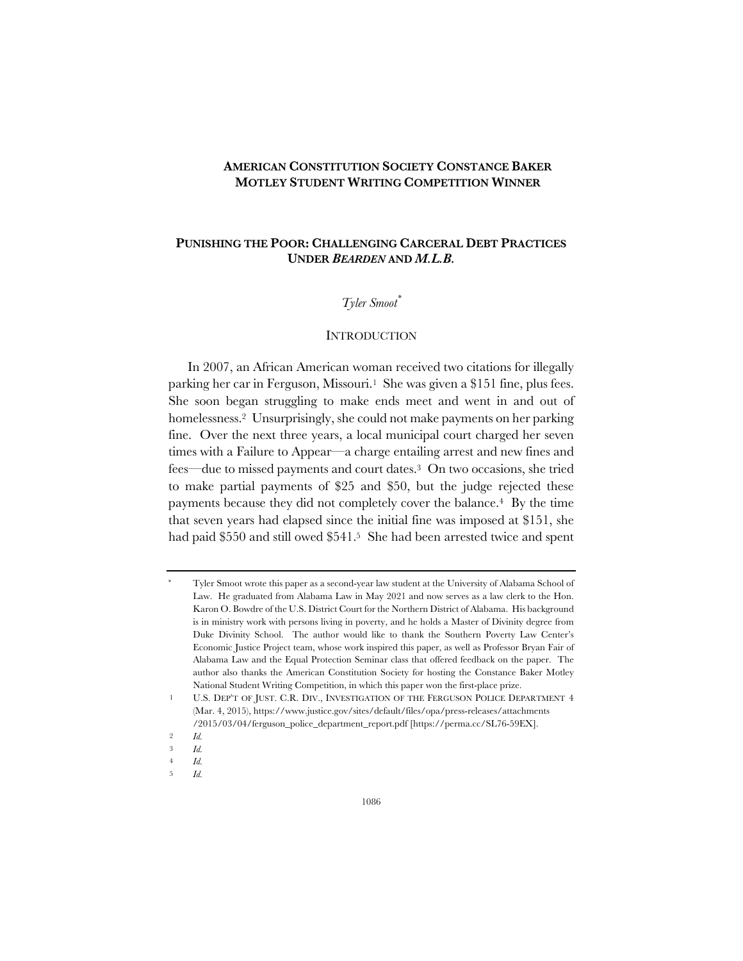# **AMERICAN CONSTITUTION SOCIETY CONSTANCE BAKER MOTLEY STUDENT WRITING COMPETITION WINNER**

# **PUNISHING THE POOR: CHALLENGING CARCERAL DEBT PRACTICES UNDER** *BEARDEN* **AND** *M.L.B.*

# *Tyler Smoot\**

### **INTRODUCTION**

In 2007, an African American woman received two citations for illegally parking her car in Ferguson, Missouri.<sup>1</sup> She was given a \$151 fine, plus fees. She soon began struggling to make ends meet and went in and out of homelessness.2 Unsurprisingly, she could not make payments on her parking fine. Over the next three years, a local municipal court charged her seven times with a Failure to Appear—a charge entailing arrest and new fines and fees—due to missed payments and court dates.3 On two occasions, she tried to make partial payments of \$25 and \$50, but the judge rejected these payments because they did not completely cover the balance.4 By the time that seven years had elapsed since the initial fine was imposed at \$151, she had paid \$550 and still owed \$541.5 She had been arrested twice and spent

5 *Id.*

Tyler Smoot wrote this paper as a second-year law student at the University of Alabama School of Law. He graduated from Alabama Law in May 2021 and now serves as a law clerk to the Hon. Karon O. Bowdre of the U.S. District Court for the Northern District of Alabama. His background is in ministry work with persons living in poverty, and he holds a Master of Divinity degree from Duke Divinity School. The author would like to thank the Southern Poverty Law Center's Economic Justice Project team, whose work inspired this paper, as well as Professor Bryan Fair of Alabama Law and the Equal Protection Seminar class that offered feedback on the paper. The author also thanks the American Constitution Society for hosting the Constance Baker Motley National Student Writing Competition, in which this paper won the first-place prize.

U.S. DEP'T OF JUST. C.R. DIV., INVESTIGATION OF THE FERGUSON POLICE DEPARTMENT 4 (Mar. 4, 2015), https://www.justice.gov/sites/default/files/opa/press-releases/attachments /2015/03/04/ferguson\_police\_department\_report.pdf [https://perma.cc/SL76-59EX].

<sup>2</sup> *Id.*

<sup>3</sup> *Id.*

<sup>4</sup> *Id.*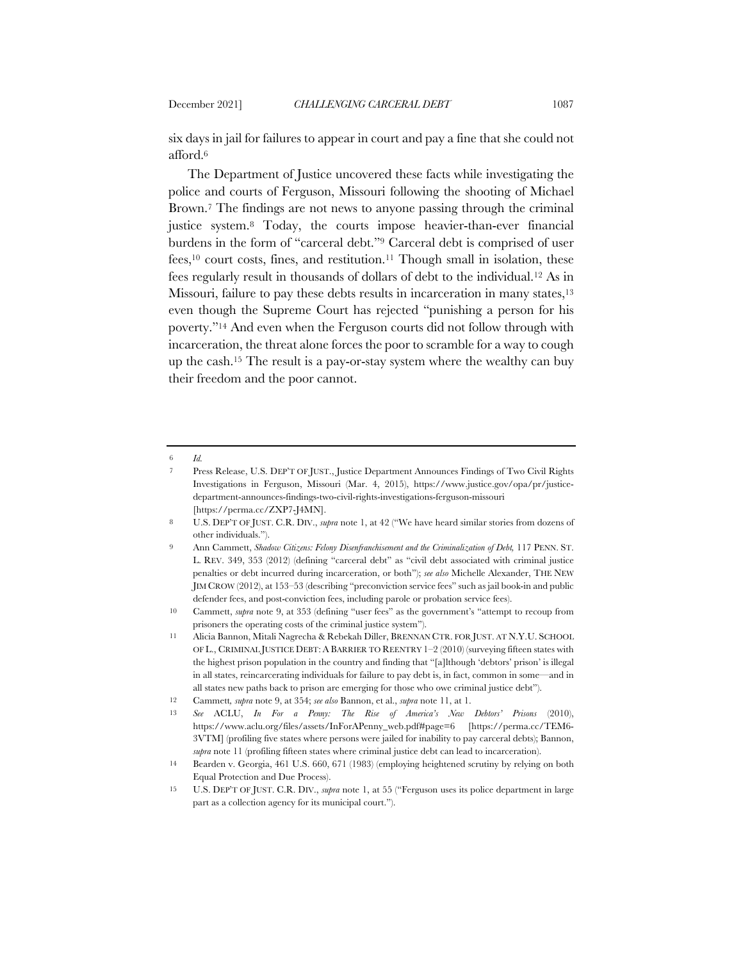six days in jail for failures to appear in court and pay a fine that she could not afford.6

The Department of Justice uncovered these facts while investigating the police and courts of Ferguson, Missouri following the shooting of Michael Brown.7 The findings are not news to anyone passing through the criminal justice system.8 Today, the courts impose heavier-than-ever financial burdens in the form of "carceral debt."9 Carceral debt is comprised of user fees,10 court costs, fines, and restitution.11 Though small in isolation, these fees regularly result in thousands of dollars of debt to the individual.12 As in Missouri, failure to pay these debts results in incarceration in many states,<sup>13</sup> even though the Supreme Court has rejected "punishing a person for his poverty."14 And even when the Ferguson courts did not follow through with incarceration, the threat alone forces the poor to scramble for a way to cough up the cash.15 The result is a pay-or-stay system where the wealthy can buy their freedom and the poor cannot.

<sup>6</sup> *Id.*

<sup>7</sup> Press Release, U.S. DEP'T OF JUST., Justice Department Announces Findings of Two Civil Rights Investigations in Ferguson, Missouri (Mar. 4, 2015), https://www.justice.gov/opa/pr/justicedepartment-announces-findings-two-civil-rights-investigations-ferguson-missouri [https://perma.cc/ZXP7-J4MN].

<sup>8</sup> U.S. DEP'T OF JUST. C.R. DIV., *supra* note 1, at 42 ("We have heard similar stories from dozens of other individuals.").

<sup>9</sup> Ann Cammett, *Shadow Citizens: Felony Disenfranchisement and the Criminalization of Debt,* 117 PENN. ST. L. REV. 349, 353 (2012) (defining "carceral debt" as "civil debt associated with criminal justice penalties or debt incurred during incarceration, or both"); *see also* Michelle Alexander, THE NEW JIM CROW (2012), at 153–53 (describing "preconviction service fees" such as jail book-in and public defender fees, and post-conviction fees, including parole or probation service fees).

<sup>10</sup> Cammett, *supra* note 9, at 353 (defining "user fees" as the government's "attempt to recoup from prisoners the operating costs of the criminal justice system").

<sup>11</sup> Alicia Bannon, Mitali Nagrecha & Rebekah Diller, BRENNAN CTR. FOR JUST. AT N.Y.U. SCHOOL OF L., CRIMINAL JUSTICE DEBT: A BARRIER TO REENTRY 1–2 (2010) (surveying fifteen states with the highest prison population in the country and finding that "[a]lthough 'debtors' prison' is illegal in all states, reincarcerating individuals for failure to pay debt is, in fact, common in some—and in all states new paths back to prison are emerging for those who owe criminal justice debt").

<sup>12</sup> Cammett*, supra* note 9, at 354; *see also* Bannon, et al., *supra* note 11, at 1.

<sup>13</sup> *See* ACLU, *In For a Penny: The Rise of America's New Debtors' Prisons* (2010), https://www.aclu.org/files/assets/InForAPenny\_web.pdf#page=6 [https://perma.cc/TEM6- 3VTM] (profiling five states where persons were jailed for inability to pay carceral debts); Bannon, *supra* note 11 (profiling fifteen states where criminal justice debt can lead to incarceration).

<sup>14</sup> Bearden v. Georgia, 461 U.S. 660, 671 (1983) (employing heightened scrutiny by relying on both Equal Protection and Due Process).

<sup>15</sup> U.S. DEP'T OF JUST. C.R. DIV., *supra* note 1, at 55 ("Ferguson uses its police department in large part as a collection agency for its municipal court.").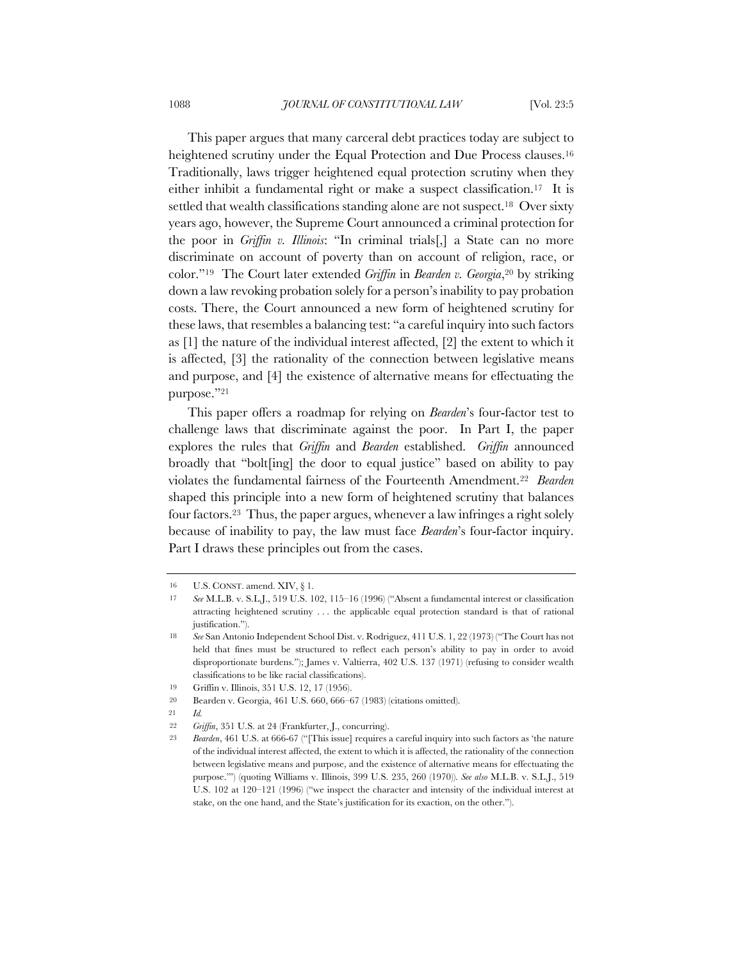This paper argues that many carceral debt practices today are subject to heightened scrutiny under the Equal Protection and Due Process clauses.<sup>16</sup> Traditionally, laws trigger heightened equal protection scrutiny when they either inhibit a fundamental right or make a suspect classification.17 It is settled that wealth classifications standing alone are not suspect.<sup>18</sup> Over sixty years ago, however, the Supreme Court announced a criminal protection for the poor in *Griffin v. Illinois*: "In criminal trials[,] a State can no more discriminate on account of poverty than on account of religion, race, or color."19 The Court later extended *Griffin* in *Bearden v. Georgia*,20 by striking down a law revoking probation solely for a person's inability to pay probation costs. There, the Court announced a new form of heightened scrutiny for these laws, that resembles a balancing test: "a careful inquiry into such factors as [1] the nature of the individual interest affected, [2] the extent to which it is affected, [3] the rationality of the connection between legislative means and purpose, and [4] the existence of alternative means for effectuating the purpose."21

This paper offers a roadmap for relying on *Bearden*'s four-factor test to challenge laws that discriminate against the poor. In Part I, the paper explores the rules that *Griffin* and *Bearden* established. *Griffin* announced broadly that "bolt[ing] the door to equal justice" based on ability to pay violates the fundamental fairness of the Fourteenth Amendment.22 *Bearden*  shaped this principle into a new form of heightened scrutiny that balances four factors.23 Thus, the paper argues, whenever a law infringes a right solely because of inability to pay, the law must face *Bearden*'s four-factor inquiry. Part I draws these principles out from the cases.

<sup>16</sup> U.S. CONST. amend. XIV, § 1.

<sup>17</sup> *See* M.L.B. v. S.L.J., 519 U.S. 102, 115–16 (1996) ("Absent a fundamental interest or classification attracting heightened scrutiny . . . the applicable equal protection standard is that of rational justification.").

<sup>18</sup> *See* San Antonio Independent School Dist. v. Rodriguez, 411 U.S. 1, 22 (1973) ("The Court has not held that fines must be structured to reflect each person's ability to pay in order to avoid disproportionate burdens."); James v. Valtierra, 402 U.S. 137 (1971) (refusing to consider wealth classifications to be like racial classifications).

<sup>19</sup> Griffin v. Illinois, 351 U.S. 12, 17 (1956).

<sup>20</sup> Bearden v. Georgia, 461 U.S. 660, 666–67 (1983) (citations omitted).

<sup>21</sup> *Id.*

<sup>22</sup> *Griffin*, 351 U.S. at 24 (Frankfurter, J., concurring).

<sup>23</sup> *Bearden*, 461 U.S. at 666-67 ("[This issue] requires a careful inquiry into such factors as 'the nature of the individual interest affected, the extent to which it is affected, the rationality of the connection between legislative means and purpose, and the existence of alternative means for effectuating the purpose.'") (quoting Williams v. Illinois, 399 U.S. 235, 260 (1970)). *See also* M.L.B. v. S.L.J., 519 U.S. 102 at 120–121 (1996) ("we inspect the character and intensity of the individual interest at stake, on the one hand, and the State's justification for its exaction, on the other.").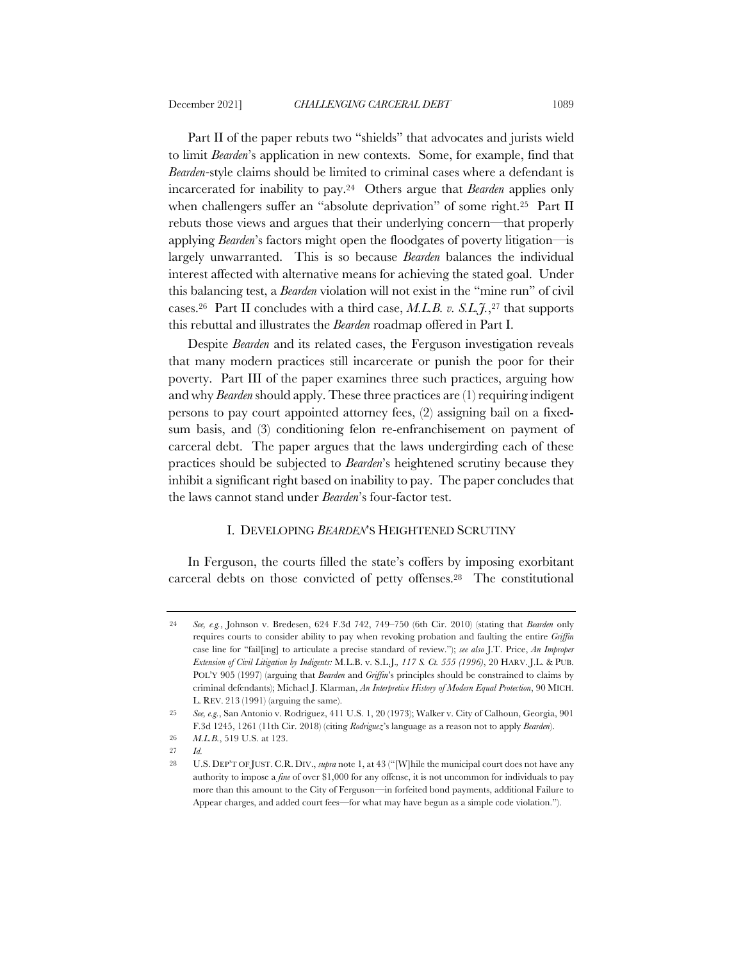Part II of the paper rebuts two "shields" that advocates and jurists wield to limit *Bearden*'s application in new contexts. Some, for example, find that *Bearden-*style claims should be limited to criminal cases where a defendant is incarcerated for inability to pay.24 Others argue that *Bearden* applies only when challengers suffer an "absolute deprivation" of some right.<sup>25</sup> Part II rebuts those views and argues that their underlying concern—that properly applying *Bearden*'s factors might open the floodgates of poverty litigation—is largely unwarranted. This is so because *Bearden* balances the individual interest affected with alternative means for achieving the stated goal. Under this balancing test, a *Bearden* violation will not exist in the "mine run" of civil cases.26 Part II concludes with a third case, *M.L.B. v. S.L.J.*,27 that supports this rebuttal and illustrates the *Bearden* roadmap offered in Part I.

Despite *Bearden* and its related cases, the Ferguson investigation reveals that many modern practices still incarcerate or punish the poor for their poverty. Part III of the paper examines three such practices, arguing how and why *Bearden* should apply. These three practices are (1) requiring indigent persons to pay court appointed attorney fees, (2) assigning bail on a fixedsum basis, and (3) conditioning felon re-enfranchisement on payment of carceral debt. The paper argues that the laws undergirding each of these practices should be subjected to *Bearden*'s heightened scrutiny because they inhibit a significant right based on inability to pay. The paper concludes that the laws cannot stand under *Bearden*'s four-factor test.

## I. DEVELOPING *BEARDEN*'S HEIGHTENED SCRUTINY

In Ferguson, the courts filled the state's coffers by imposing exorbitant carceral debts on those convicted of petty offenses.28 The constitutional

<sup>24</sup> *See, e.g.*, Johnson v. Bredesen, 624 F.3d 742, 749–750 (6th Cir. 2010) (stating that *Bearden* only requires courts to consider ability to pay when revoking probation and faulting the entire *Griffin*  case line for "fail[ing] to articulate a precise standard of review."); *see also* J.T. Price, *An Improper Extension of Civil Litigation by Indigents:* M.L.B. v. S.L.J.*, 117 S. Ct. 555 (1996)*, 20 HARV. J.L. & PUB. POL'Y 905 (1997) (arguing that *Bearden* and *Griffin*'s principles should be constrained to claims by criminal defendants); Michael J. Klarman, *An Interpretive History of Modern Equal Protection*, 90 MICH. L. REV. 213 (1991) (arguing the same).

<sup>25</sup> *See, e.g.*, San Antonio v. Rodriguez, 411 U.S. 1, 20 (1973); Walker v. City of Calhoun, Georgia, 901 F.3d 1245, 1261 (11th Cir. 2018) (citing *Rodriguez*'s language as a reason not to apply *Bearden*).

<sup>26</sup> *M.L.B.*, 519 U.S. at 123.

<sup>27</sup> *Id.*

<sup>28</sup> U.S. DEP'T OF JUST. C.R. DIV., *supra* note 1, at 43 ("[W]hile the municipal court does not have any authority to impose a *fine* of over \$1,000 for any offense, it is not uncommon for individuals to pay more than this amount to the City of Ferguson—in forfeited bond payments, additional Failure to Appear charges, and added court fees—for what may have begun as a simple code violation.").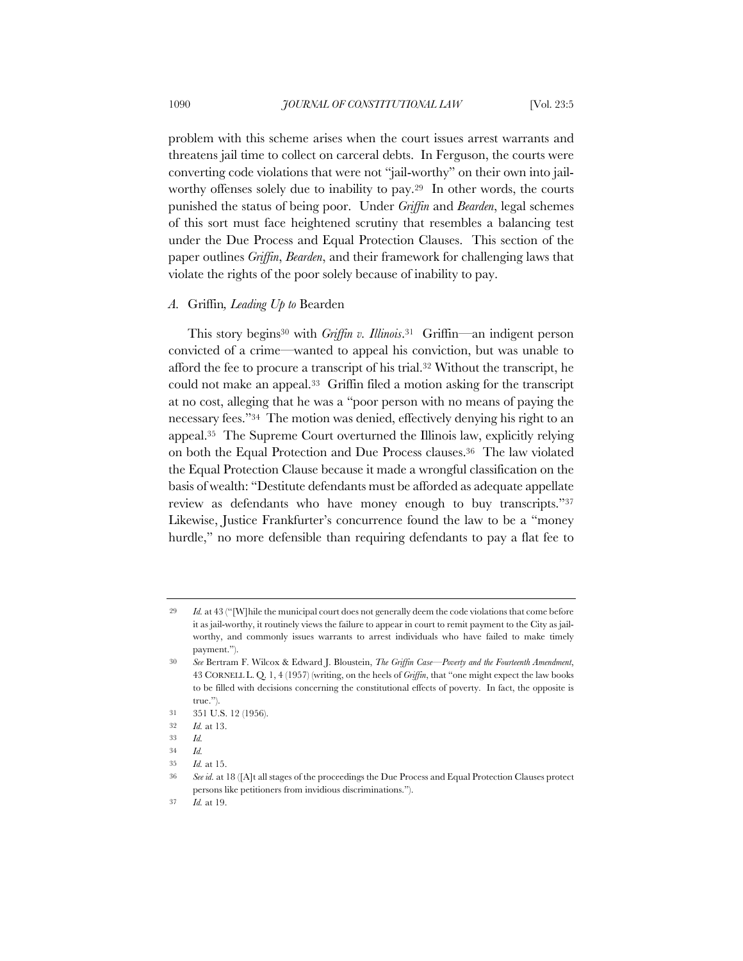problem with this scheme arises when the court issues arrest warrants and threatens jail time to collect on carceral debts. In Ferguson, the courts were converting code violations that were not "jail-worthy" on their own into jailworthy offenses solely due to inability to pay.<sup>29</sup> In other words, the courts punished the status of being poor. Under *Griffin* and *Bearden*, legal schemes of this sort must face heightened scrutiny that resembles a balancing test under the Due Process and Equal Protection Clauses. This section of the paper outlines *Griffin*, *Bearden*, and their framework for challenging laws that violate the rights of the poor solely because of inability to pay.

#### *A.* Griffin*, Leading Up to* Bearden

This story begins30 with *Griffin v. Illinois*.31 Griffin—an indigent person convicted of a crime—wanted to appeal his conviction, but was unable to afford the fee to procure a transcript of his trial.32 Without the transcript, he could not make an appeal.33 Griffin filed a motion asking for the transcript at no cost, alleging that he was a "poor person with no means of paying the necessary fees."34 The motion was denied, effectively denying his right to an appeal.35 The Supreme Court overturned the Illinois law, explicitly relying on both the Equal Protection and Due Process clauses.36 The law violated the Equal Protection Clause because it made a wrongful classification on the basis of wealth: "Destitute defendants must be afforded as adequate appellate review as defendants who have money enough to buy transcripts."37 Likewise, Justice Frankfurter's concurrence found the law to be a "money hurdle," no more defensible than requiring defendants to pay a flat fee to

<sup>29</sup> *Id.* at 43 ("[W]hile the municipal court does not generally deem the code violations that come before it as jail-worthy, it routinely views the failure to appear in court to remit payment to the City as jailworthy, and commonly issues warrants to arrest individuals who have failed to make timely payment.").

<sup>30</sup> *See* Bertram F. Wilcox & Edward J. Bloustein, *The Griffin Case—Poverty and the Fourteenth Amendment*, 43 CORNELL L. Q. 1, 4 (1957) (writing, on the heels of *Griffin*, that "one might expect the law books to be filled with decisions concerning the constitutional effects of poverty. In fact, the opposite is true.").

<sup>31</sup> 351 U.S. 12 (1956).

<sup>32</sup> *Id.* at 13.

<sup>33</sup> *Id.*

<sup>34</sup> *Id.*

<sup>35</sup> *Id.* at 15.

<sup>36</sup> *See id.* at 18 ([A]t all stages of the proceedings the Due Process and Equal Protection Clauses protect persons like petitioners from invidious discriminations.").

<sup>37</sup> *Id.* at 19.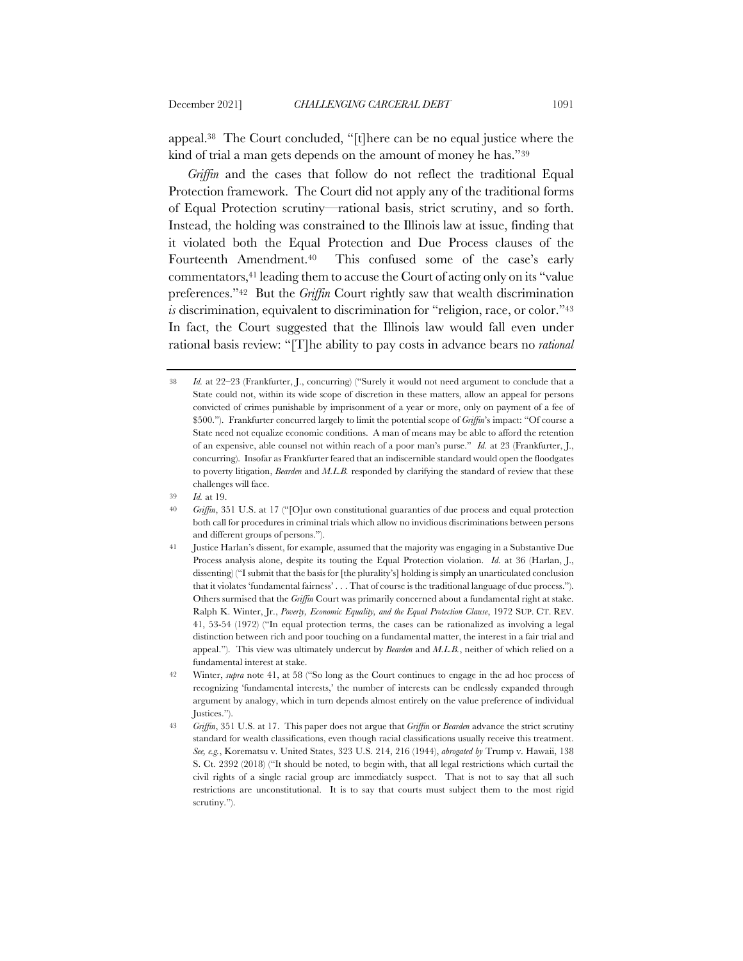appeal.38 The Court concluded, "[t]here can be no equal justice where the kind of trial a man gets depends on the amount of money he has."39

*Griffin* and the cases that follow do not reflect the traditional Equal Protection framework. The Court did not apply any of the traditional forms of Equal Protection scrutiny—rational basis, strict scrutiny, and so forth. Instead, the holding was constrained to the Illinois law at issue, finding that it violated both the Equal Protection and Due Process clauses of the Fourteenth Amendment.40 This confused some of the case's early commentators,41 leading them to accuse the Court of acting only on its "value preferences."42 But the *Griffin* Court rightly saw that wealth discrimination *is* discrimination, equivalent to discrimination for "religion, race, or color."43 In fact, the Court suggested that the Illinois law would fall even under rational basis review: "[T]he ability to pay costs in advance bears no *rational* 

<sup>38</sup> *Id.* at 22–23 (Frankfurter, J., concurring) ("Surely it would not need argument to conclude that a State could not, within its wide scope of discretion in these matters, allow an appeal for persons convicted of crimes punishable by imprisonment of a year or more, only on payment of a fee of \$500."). Frankfurter concurred largely to limit the potential scope of *Griffin*'s impact: "Of course a State need not equalize economic conditions. A man of means may be able to afford the retention of an expensive, able counsel not within reach of a poor man's purse." *Id.* at 23 (Frankfurter, J., concurring). Insofar as Frankfurter feared that an indiscernible standard would open the floodgates to poverty litigation, *Bearden* and *M.L.B.* responded by clarifying the standard of review that these challenges will face.

<sup>39</sup> *Id.* at 19.

<sup>40</sup> *Griffin*, 351 U.S. at 17 ("[O]ur own constitutional guaranties of due process and equal protection both call for procedures in criminal trials which allow no invidious discriminations between persons and different groups of persons.").

<sup>41</sup> Justice Harlan's dissent, for example, assumed that the majority was engaging in a Substantive Due Process analysis alone, despite its touting the Equal Protection violation. *Id.* at 36 (Harlan, J., dissenting) ("I submit that the basis for [the plurality's] holding is simply an unarticulated conclusion that it violates 'fundamental fairness' . . . That of course is the traditional language of due process."). Others surmised that the *Griffin* Court was primarily concerned about a fundamental right at stake. Ralph K. Winter, Jr., *Poverty, Economic Equality, and the Equal Protection Clause*, 1972 SUP. CT. REV. 41, 53-54 (1972) ("In equal protection terms, the cases can be rationalized as involving a legal distinction between rich and poor touching on a fundamental matter, the interest in a fair trial and appeal."). This view was ultimately undercut by *Bearden* and *M.L.B.*, neither of which relied on a fundamental interest at stake.

<sup>42</sup> Winter, *supra* note 41, at 58 ("So long as the Court continues to engage in the ad hoc process of recognizing 'fundamental interests,' the number of interests can be endlessly expanded through argument by analogy, which in turn depends almost entirely on the value preference of individual Justices.").

<sup>43</sup> *Griffin*, 351 U.S. at 17. This paper does not argue that *Griffin* or *Bearden* advance the strict scrutiny standard for wealth classifications, even though racial classifications usually receive this treatment. *See, e.g.*, Korematsu v. United States, 323 U.S. 214, 216 (1944), *abrogated by* Trump v. Hawaii, 138 S. Ct. 2392 (2018) ("It should be noted, to begin with, that all legal restrictions which curtail the civil rights of a single racial group are immediately suspect. That is not to say that all such restrictions are unconstitutional. It is to say that courts must subject them to the most rigid scrutiny.").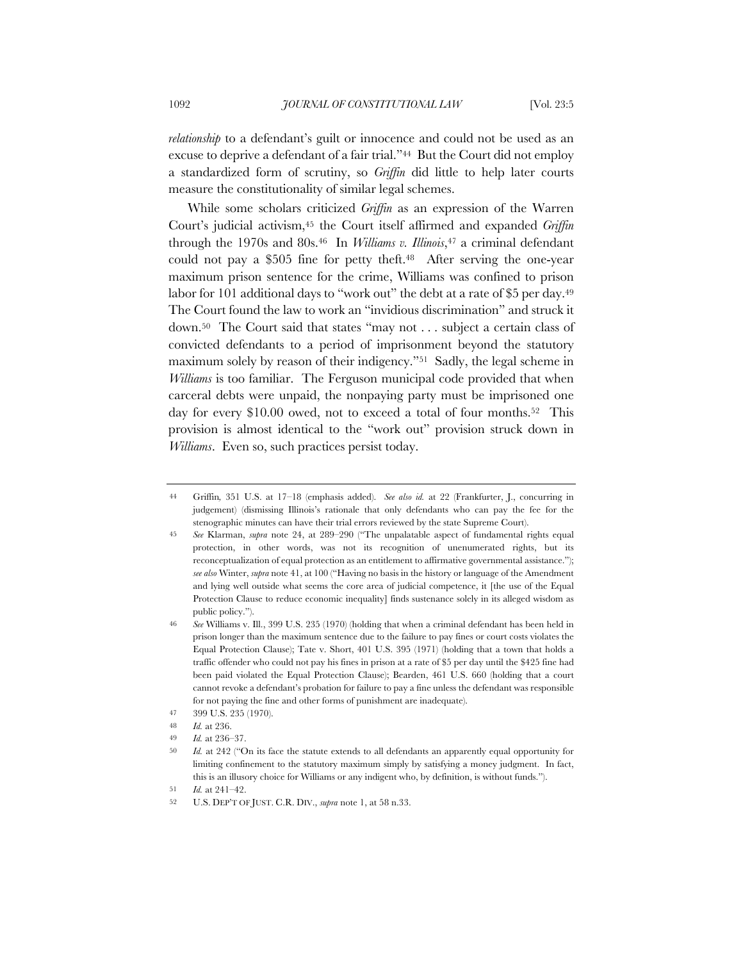*relationship* to a defendant's guilt or innocence and could not be used as an excuse to deprive a defendant of a fair trial."44 But the Court did not employ a standardized form of scrutiny, so *Griffin* did little to help later courts measure the constitutionality of similar legal schemes.

While some scholars criticized *Griffin* as an expression of the Warren Court's judicial activism,45 the Court itself affirmed and expanded *Griffin*  through the 1970s and 80s.46 In *Williams v. Illinois*,47 a criminal defendant could not pay a \$505 fine for petty theft.48 After serving the one-year maximum prison sentence for the crime, Williams was confined to prison labor for 101 additional days to "work out" the debt at a rate of \$5 per day.<sup>49</sup> The Court found the law to work an "invidious discrimination" and struck it down.50 The Court said that states "may not . . . subject a certain class of convicted defendants to a period of imprisonment beyond the statutory maximum solely by reason of their indigency."51 Sadly, the legal scheme in *Williams* is too familiar. The Ferguson municipal code provided that when carceral debts were unpaid, the nonpaying party must be imprisoned one day for every \$10.00 owed, not to exceed a total of four months.52 This provision is almost identical to the "work out" provision struck down in *Williams*. Even so, such practices persist today.

<sup>44</sup> Griffin*,* 351 U.S. at 17–18 (emphasis added). *See also id.* at 22 (Frankfurter, J., concurring in judgement) (dismissing Illinois's rationale that only defendants who can pay the fee for the stenographic minutes can have their trial errors reviewed by the state Supreme Court).

<sup>45</sup> *See* Klarman, *supra* note 24, at 289–290 ("The unpalatable aspect of fundamental rights equal protection, in other words, was not its recognition of unenumerated rights, but its reconceptualization of equal protection as an entitlement to affirmative governmental assistance."); *see also* Winter, *supra* note 41, at 100 ("Having no basis in the history or language of the Amendment and lying well outside what seems the core area of judicial competence, it [the use of the Equal Protection Clause to reduce economic inequality] finds sustenance solely in its alleged wisdom as public policy.").

<sup>46</sup> *See* Williams v. Ill., 399 U.S. 235 (1970) (holding that when a criminal defendant has been held in prison longer than the maximum sentence due to the failure to pay fines or court costs violates the Equal Protection Clause); Tate v. Short, 401 U.S. 395 (1971) (holding that a town that holds a traffic offender who could not pay his fines in prison at a rate of \$5 per day until the \$425 fine had been paid violated the Equal Protection Clause); Bearden, 461 U.S. 660 (holding that a court cannot revoke a defendant's probation for failure to pay a fine unless the defendant was responsible for not paying the fine and other forms of punishment are inadequate).

<sup>47</sup> 399 U.S. 235 (1970).

<sup>48</sup> *Id.* at 236.

<sup>49</sup> *Id.* at 236–37.

<sup>50</sup> *Id.* at 242 ("On its face the statute extends to all defendants an apparently equal opportunity for limiting confinement to the statutory maximum simply by satisfying a money judgment. In fact, this is an illusory choice for Williams or any indigent who, by definition, is without funds.").

<sup>51</sup> *Id.* at 241–42.

<sup>52</sup> U.S. DEP'T OF JUST. C.R. DIV., *supra* note 1, at 58 n.33.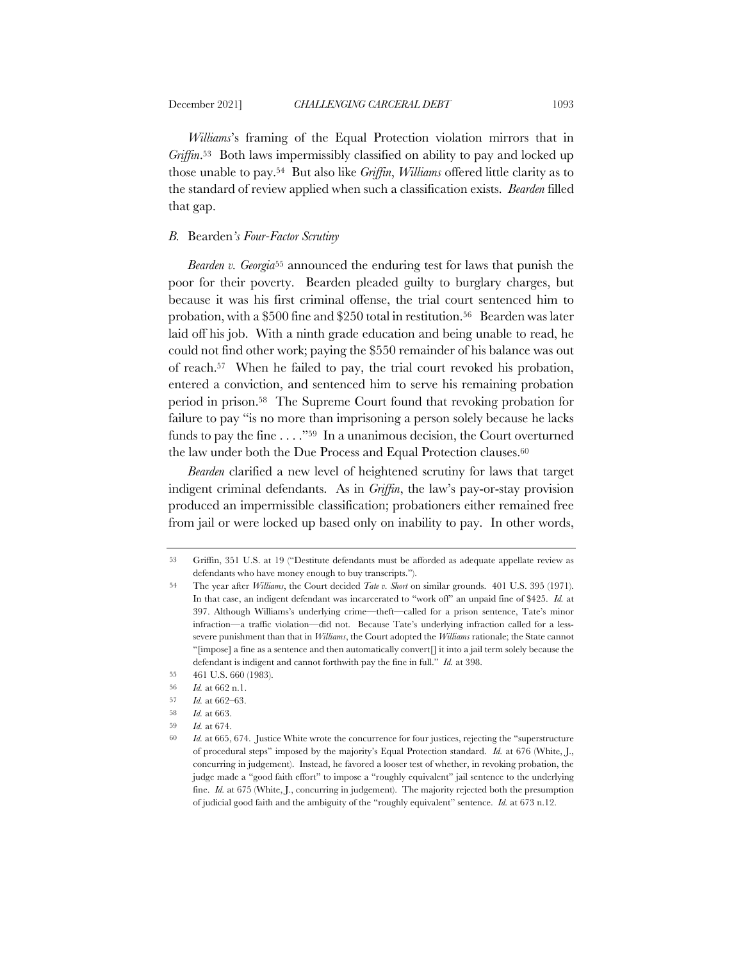*Williams*'s framing of the Equal Protection violation mirrors that in *Griffin*.53 Both laws impermissibly classified on ability to pay and locked up those unable to pay.54 But also like *Griffin*, *Williams* offered little clarity as to the standard of review applied when such a classification exists. *Bearden* filled that gap.

#### *B.* Bearden*'s Four-Factor Scrutiny*

*Bearden v. Georgia*<sup>55</sup> announced the enduring test for laws that punish the poor for their poverty. Bearden pleaded guilty to burglary charges, but because it was his first criminal offense, the trial court sentenced him to probation, with a \$500 fine and \$250 total in restitution.56 Bearden was later laid off his job. With a ninth grade education and being unable to read, he could not find other work; paying the \$550 remainder of his balance was out of reach.57 When he failed to pay, the trial court revoked his probation, entered a conviction, and sentenced him to serve his remaining probation period in prison.58 The Supreme Court found that revoking probation for failure to pay "is no more than imprisoning a person solely because he lacks funds to pay the fine . . . ."59 In a unanimous decision, the Court overturned the law under both the Due Process and Equal Protection clauses.<sup>60</sup>

*Bearden* clarified a new level of heightened scrutiny for laws that target indigent criminal defendants. As in *Griffin*, the law's pay-or-stay provision produced an impermissible classification; probationers either remained free from jail or were locked up based only on inability to pay. In other words,

<sup>53</sup> Griffin, 351 U.S. at 19 ("Destitute defendants must be afforded as adequate appellate review as defendants who have money enough to buy transcripts.").

<sup>54</sup> The year after *Williams*, the Court decided *Tate v. Short* on similar grounds. 401 U.S. 395 (1971). In that case, an indigent defendant was incarcerated to "work off" an unpaid fine of \$425. *Id.* at 397. Although Williams's underlying crime—theft—called for a prison sentence, Tate's minor infraction—a traffic violation—did not. Because Tate's underlying infraction called for a lesssevere punishment than that in *Williams*, the Court adopted the *Williams* rationale; the State cannot "[impose] a fine as a sentence and then automatically convert[] it into a jail term solely because the defendant is indigent and cannot forthwith pay the fine in full." *Id.* at 398.

<sup>55</sup> 461 U.S. 660 (1983).

<sup>56</sup> *Id.* at 662 n.1.

<sup>57</sup> *Id.* at 662–63.

<sup>58</sup> *Id.* at 663.

<sup>59</sup> *Id.* at 674.

<sup>60</sup> *Id.* at 665, 674. Justice White wrote the concurrence for four justices, rejecting the "superstructure of procedural steps" imposed by the majority's Equal Protection standard. *Id.* at 676 (White, J., concurring in judgement). Instead, he favored a looser test of whether, in revoking probation, the judge made a "good faith effort" to impose a "roughly equivalent" jail sentence to the underlying fine. *Id.* at 675 (White, J., concurring in judgement). The majority rejected both the presumption of judicial good faith and the ambiguity of the "roughly equivalent" sentence. *Id.* at 673 n.12.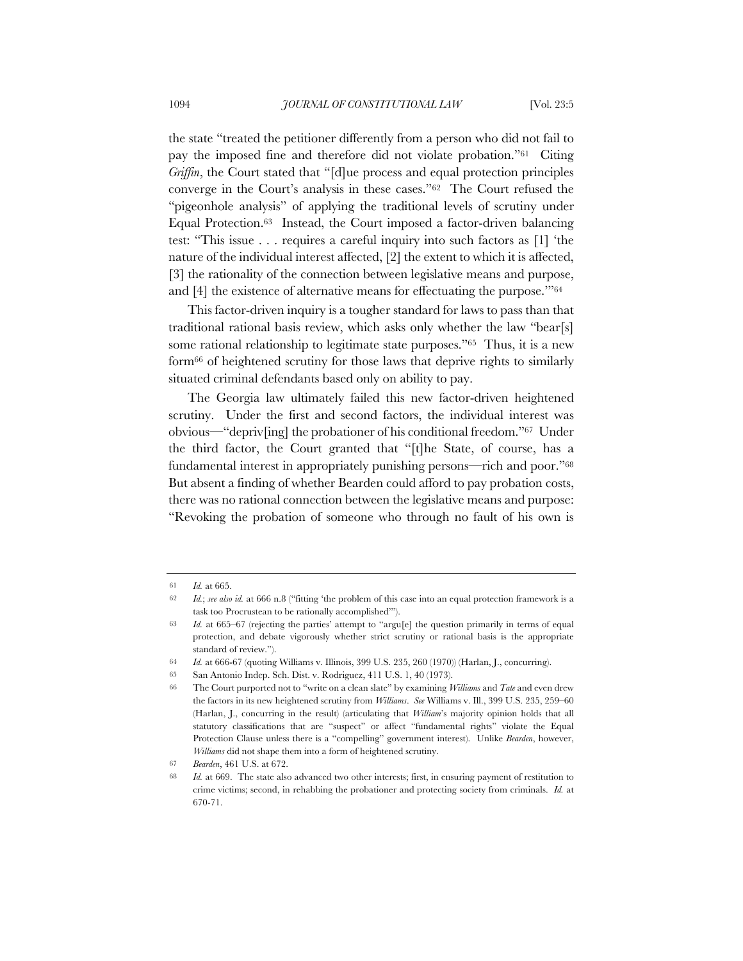the state "treated the petitioner differently from a person who did not fail to pay the imposed fine and therefore did not violate probation."61 Citing *Griffin*, the Court stated that "[d]ue process and equal protection principles converge in the Court's analysis in these cases."62 The Court refused the "pigeonhole analysis" of applying the traditional levels of scrutiny under Equal Protection.63 Instead, the Court imposed a factor-driven balancing test: "This issue . . . requires a careful inquiry into such factors as [1] 'the nature of the individual interest affected, [2] the extent to which it is affected, [3] the rationality of the connection between legislative means and purpose, and [4] the existence of alternative means for effectuating the purpose.'"64

This factor-driven inquiry is a tougher standard for laws to pass than that traditional rational basis review, which asks only whether the law "bear[s] some rational relationship to legitimate state purposes."65 Thus, it is a new form66 of heightened scrutiny for those laws that deprive rights to similarly situated criminal defendants based only on ability to pay.

The Georgia law ultimately failed this new factor-driven heightened scrutiny. Under the first and second factors, the individual interest was obvious—"depriv[ing] the probationer of his conditional freedom."67 Under the third factor, the Court granted that "[t]he State, of course, has a fundamental interest in appropriately punishing persons—rich and poor."68 But absent a finding of whether Bearden could afford to pay probation costs, there was no rational connection between the legislative means and purpose: "Revoking the probation of someone who through no fault of his own is

<sup>61</sup> *Id.* at 665.

<sup>62</sup> *Id.*; *see also id.* at 666 n.8 ("fitting 'the problem of this case into an equal protection framework is a task too Procrustean to be rationally accomplished'").

<sup>63</sup> *Id.* at 665–67 (rejecting the parties' attempt to "argu[e] the question primarily in terms of equal protection, and debate vigorously whether strict scrutiny or rational basis is the appropriate standard of review.").

<sup>64</sup> *Id.* at 666-67 (quoting Williams v. Illinois, 399 U.S. 235, 260 (1970)) (Harlan, J., concurring).

<sup>65</sup> San Antonio Indep. Sch. Dist. v. Rodriguez, 411 U.S. 1, 40 (1973).

<sup>66</sup> The Court purported not to "write on a clean slate" by examining *Williams* and *Tate* and even drew the factors in its new heightened scrutiny from *Williams*. *See* Williams v. Ill., 399 U.S. 235, 259–60 (Harlan, J., concurring in the result) (articulating that *William*'s majority opinion holds that all statutory classifications that are "suspect" or affect "fundamental rights" violate the Equal Protection Clause unless there is a "compelling" government interest). Unlike *Bearden*, however, *Williams* did not shape them into a form of heightened scrutiny.

<sup>67</sup> *Bearden*, 461 U.S. at 672.

<sup>68</sup> *Id.* at 669. The state also advanced two other interests; first, in ensuring payment of restitution to crime victims; second, in rehabbing the probationer and protecting society from criminals. *Id.* at 670-71.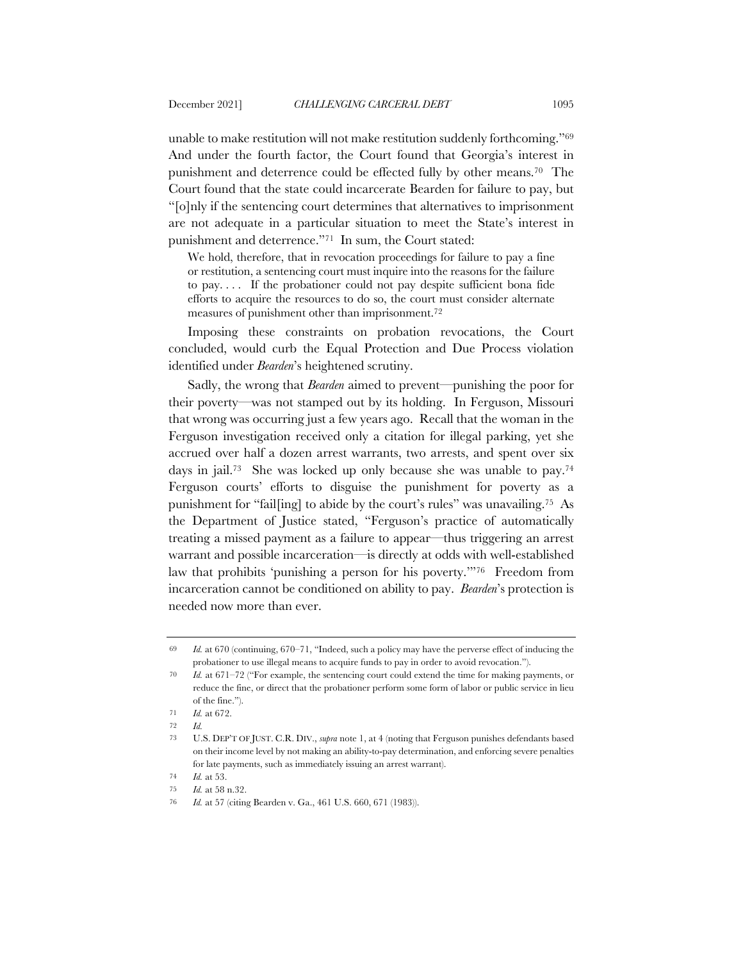unable to make restitution will not make restitution suddenly forthcoming."69 And under the fourth factor, the Court found that Georgia's interest in punishment and deterrence could be effected fully by other means.70 The Court found that the state could incarcerate Bearden for failure to pay, but "[o]nly if the sentencing court determines that alternatives to imprisonment are not adequate in a particular situation to meet the State's interest in punishment and deterrence."71 In sum, the Court stated:

We hold, therefore, that in revocation proceedings for failure to pay a fine or restitution, a sentencing court must inquire into the reasons for the failure to pay. . . . If the probationer could not pay despite sufficient bona fide efforts to acquire the resources to do so, the court must consider alternate measures of punishment other than imprisonment.72

Imposing these constraints on probation revocations, the Court concluded, would curb the Equal Protection and Due Process violation identified under *Bearden*'s heightened scrutiny.

Sadly, the wrong that *Bearden* aimed to prevent—punishing the poor for their poverty—was not stamped out by its holding. In Ferguson, Missouri that wrong was occurring just a few years ago. Recall that the woman in the Ferguson investigation received only a citation for illegal parking, yet she accrued over half a dozen arrest warrants, two arrests, and spent over six days in jail.73 She was locked up only because she was unable to pay.74 Ferguson courts' efforts to disguise the punishment for poverty as a punishment for "fail[ing] to abide by the court's rules" was unavailing.75 As the Department of Justice stated, "Ferguson's practice of automatically treating a missed payment as a failure to appear—thus triggering an arrest warrant and possible incarceration—is directly at odds with well-established law that prohibits 'punishing a person for his poverty.'"76 Freedom from incarceration cannot be conditioned on ability to pay. *Bearden*'s protection is needed now more than ever.

<sup>69</sup> *Id.* at 670 (continuing, 670–71, "Indeed, such a policy may have the perverse effect of inducing the probationer to use illegal means to acquire funds to pay in order to avoid revocation.").

<sup>70</sup> *Id.* at 671–72 ("For example, the sentencing court could extend the time for making payments, or reduce the fine, or direct that the probationer perform some form of labor or public service in lieu of the fine.").

<sup>71</sup> *Id.* at 672.

<sup>72</sup> *Id.*

<sup>73</sup> U.S. DEP'T OF JUST. C.R. DIV., *supra* note 1, at 4 (noting that Ferguson punishes defendants based on their income level by not making an ability-to-pay determination, and enforcing severe penalties for late payments, such as immediately issuing an arrest warrant).

<sup>74</sup> *Id.* at 53.

<sup>75</sup> *Id.* at 58 n.32.

<sup>76</sup> *Id.* at 57 (citing Bearden v. Ga., 461 U.S. 660, 671 (1983)).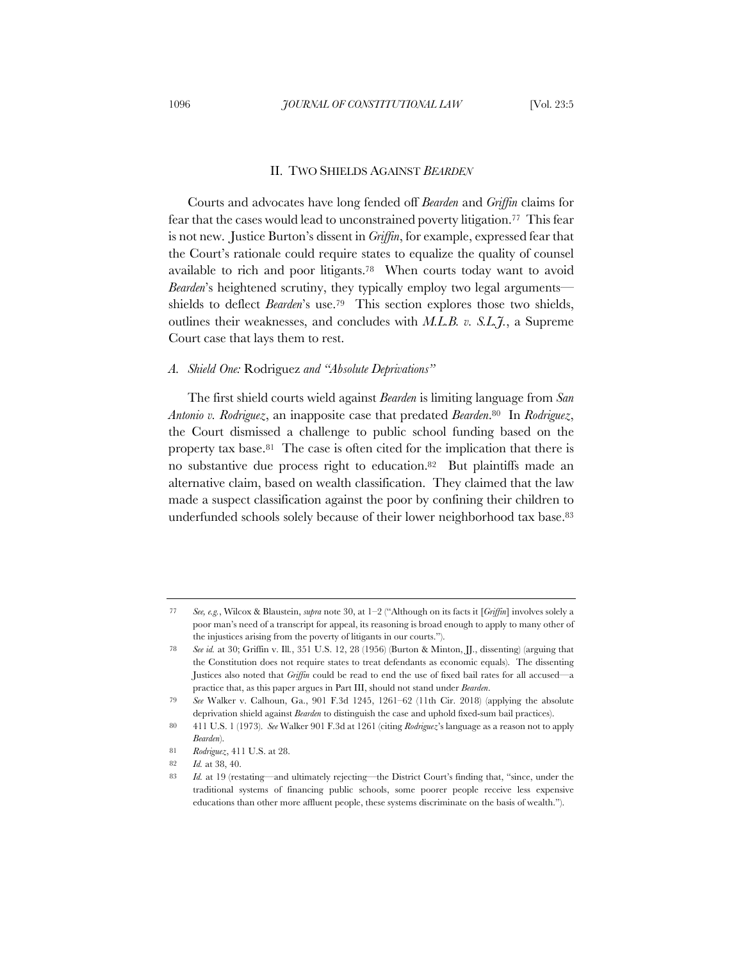#### II. TWO SHIELDS AGAINST *BEARDEN*

Courts and advocates have long fended off *Bearden* and *Griffin* claims for fear that the cases would lead to unconstrained poverty litigation.<sup>77</sup> This fear is not new. Justice Burton's dissent in *Griffin*, for example, expressed fear that the Court's rationale could require states to equalize the quality of counsel available to rich and poor litigants.78 When courts today want to avoid *Bearden*'s heightened scrutiny, they typically employ two legal arguments shields to deflect *Bearden*'s use.79 This section explores those two shields, outlines their weaknesses, and concludes with *M.L.B. v. S.L.J.*, a Supreme Court case that lays them to rest.

### *A. Shield One:* Rodriguez *and "Absolute Deprivations"*

The first shield courts wield against *Bearden* is limiting language from *San Antonio v. Rodriguez*, an inapposite case that predated *Bearden*.80 In *Rodriguez*, the Court dismissed a challenge to public school funding based on the property tax base.81 The case is often cited for the implication that there is no substantive due process right to education.82 But plaintiffs made an alternative claim, based on wealth classification. They claimed that the law made a suspect classification against the poor by confining their children to underfunded schools solely because of their lower neighborhood tax base.83

<sup>77</sup> *See, e.g.*, Wilcox & Blaustein, *supra* note 30, at 1–2 ("Although on its facts it [*Griffin*] involves solely a poor man's need of a transcript for appeal, its reasoning is broad enough to apply to many other of the injustices arising from the poverty of litigants in our courts.").

<sup>78</sup> *See id.* at 30; Griffin v. Ill*.*, 351 U.S. 12, 28 (1956) (Burton & Minton, JJ., dissenting) (arguing that the Constitution does not require states to treat defendants as economic equals). The dissenting Justices also noted that *Griffin* could be read to end the use of fixed bail rates for all accused—a practice that, as this paper argues in Part III, should not stand under *Bearden*.

<sup>79</sup> *See* Walker v. Calhoun, Ga., 901 F.3d 1245, 1261–62 (11th Cir. 2018) (applying the absolute deprivation shield against *Bearden* to distinguish the case and uphold fixed-sum bail practices).

<sup>80</sup> 411 U.S. 1 (1973). *See* Walker 901 F.3d at 1261 (citing *Rodriguez*'s language as a reason not to apply *Bearden*).

<sup>81</sup> *Rodriguez*, 411 U.S. at 28.

<sup>82</sup> *Id.* at 38, 40.

<sup>83</sup> *Id.* at 19 (restating—and ultimately rejecting—the District Court's finding that, "since, under the traditional systems of financing public schools, some poorer people receive less expensive educations than other more affluent people, these systems discriminate on the basis of wealth.").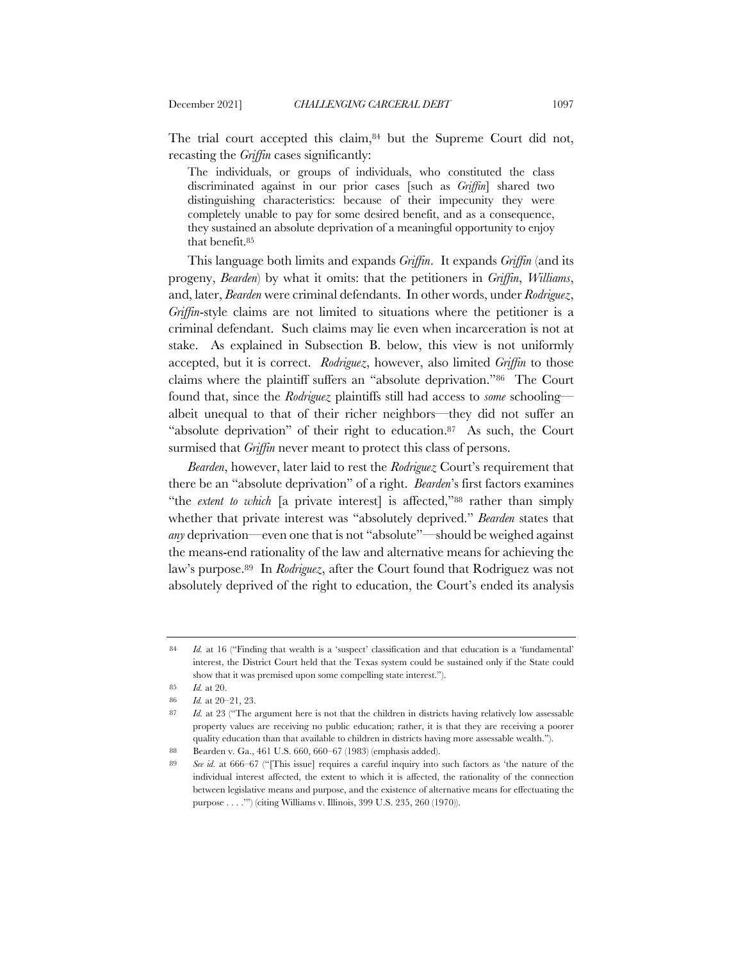The trial court accepted this claim,<sup>84</sup> but the Supreme Court did not, recasting the *Griffin* cases significantly:

The individuals, or groups of individuals, who constituted the class discriminated against in our prior cases [such as *Griffin*] shared two distinguishing characteristics: because of their impecunity they were completely unable to pay for some desired benefit, and as a consequence, they sustained an absolute deprivation of a meaningful opportunity to enjoy that benefit.85

This language both limits and expands *Griffin*. It expands *Griffin* (and its progeny, *Bearden*) by what it omits: that the petitioners in *Griffin*, *Williams*, and, later, *Bearden* were criminal defendants. In other words, under *Rodriguez*, *Griffin*-style claims are not limited to situations where the petitioner is a criminal defendant. Such claims may lie even when incarceration is not at stake. As explained in Subsection B. below, this view is not uniformly accepted, but it is correct. *Rodriguez*, however, also limited *Griffin* to those claims where the plaintiff suffers an "absolute deprivation."86 The Court found that, since the *Rodriguez* plaintiffs still had access to *some* schooling albeit unequal to that of their richer neighbors—they did not suffer an "absolute deprivation" of their right to education.87 As such, the Court surmised that *Griffin* never meant to protect this class of persons.

*Bearden*, however, later laid to rest the *Rodriguez* Court's requirement that there be an "absolute deprivation" of a right. *Bearden*'s first factors examines "the *extent to which* [a private interest] is affected,"88 rather than simply whether that private interest was "absolutely deprived." *Bearden* states that *any* deprivation—even one that is not "absolute"—should be weighed against the means-end rationality of the law and alternative means for achieving the law's purpose.89 In *Rodriguez*, after the Court found that Rodriguez was not absolutely deprived of the right to education, the Court's ended its analysis

<sup>84</sup> *Id.* at 16 ("Finding that wealth is a 'suspect' classification and that education is a 'fundamental' interest, the District Court held that the Texas system could be sustained only if the State could show that it was premised upon some compelling state interest.").

<sup>85</sup> *Id.* at 20.

<sup>86</sup> *Id.* at 20–21, 23.

<sup>87</sup> *Id.* at 23 ("The argument here is not that the children in districts having relatively low assessable property values are receiving no public education; rather, it is that they are receiving a poorer quality education than that available to children in districts having more assessable wealth.").

<sup>88</sup> Bearden v. Ga., 461 U.S. 660, 660–67 (1983) (emphasis added).

<sup>89</sup> *See id.* at 666–67 ("[This issue] requires a careful inquiry into such factors as 'the nature of the individual interest affected, the extent to which it is affected, the rationality of the connection between legislative means and purpose, and the existence of alternative means for effectuating the purpose . . . .'") (citing Williams v. Illinois, 399 U.S. 235, 260 (1970)).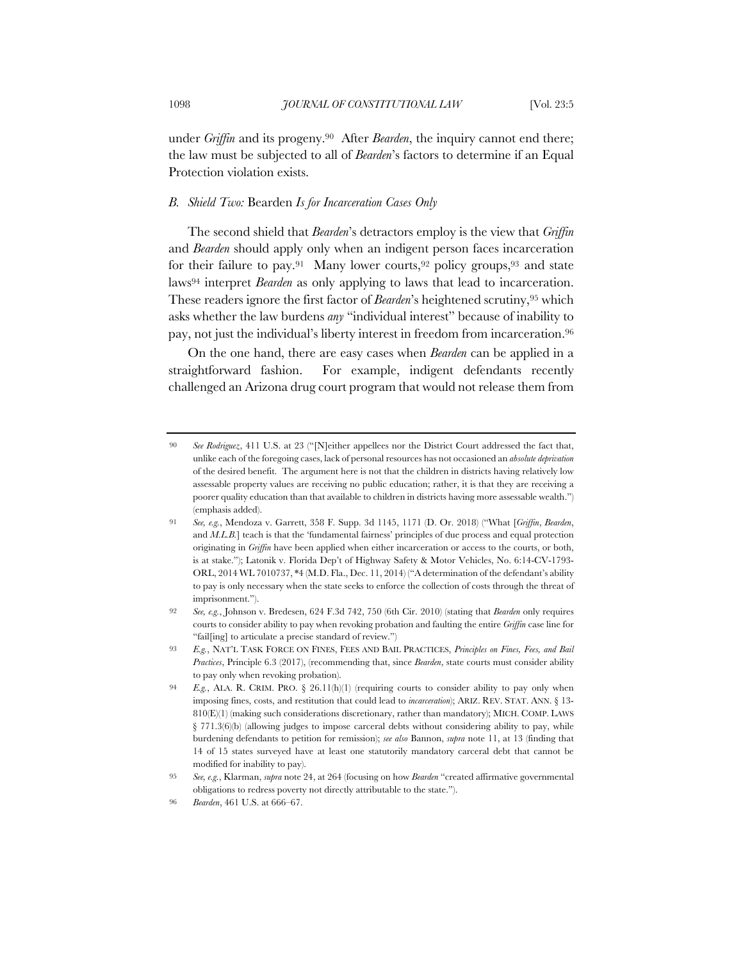under *Griffin* and its progeny.90 After *Bearden*, the inquiry cannot end there; the law must be subjected to all of *Bearden*'s factors to determine if an Equal Protection violation exists.

## *B. Shield Two:* Bearden *Is for Incarceration Cases Only*

The second shield that *Bearden*'s detractors employ is the view that *Griffin*  and *Bearden* should apply only when an indigent person faces incarceration for their failure to pay.<sup>91</sup> Many lower courts, <sup>92</sup> policy groups, <sup>93</sup> and state laws94 interpret *Bearden* as only applying to laws that lead to incarceration. These readers ignore the first factor of *Bearden*'s heightened scrutiny,95 which asks whether the law burdens *any* "individual interest" because of inability to pay, not just the individual's liberty interest in freedom from incarceration.96

On the one hand, there are easy cases when *Bearden* can be applied in a straightforward fashion. For example, indigent defendants recently challenged an Arizona drug court program that would not release them from

<sup>90</sup> *See Rodriguez*, 411 U.S. at 23 ("[N]either appellees nor the District Court addressed the fact that, unlike each of the foregoing cases, lack of personal resources has not occasioned an *absolute deprivation* of the desired benefit. The argument here is not that the children in districts having relatively low assessable property values are receiving no public education; rather, it is that they are receiving a poorer quality education than that available to children in districts having more assessable wealth.") (emphasis added).

<sup>91</sup> *See, e.g.*, Mendoza v. Garrett, 358 F. Supp. 3d 1145, 1171 (D. Or. 2018) ("What [*Griffin*, *Bearden*, and *M.L.B.*] teach is that the 'fundamental fairness' principles of due process and equal protection originating in *Griffin* have been applied when either incarceration or access to the courts, or both, is at stake."); Latonik v. Florida Dep't of Highway Safety & Motor Vehicles, No. 6:14-CV-1793- ORL, 2014 WL 7010737, \*4 (M.D. Fla., Dec. 11, 2014) ("A determination of the defendant's ability to pay is only necessary when the state seeks to enforce the collection of costs through the threat of imprisonment.").

<sup>92</sup> *See, e.g.*, Johnson v. Bredesen, 624 F.3d 742, 750 (6th Cir. 2010) (stating that *Bearden* only requires courts to consider ability to pay when revoking probation and faulting the entire *Griffin* case line for "fail[ing] to articulate a precise standard of review.")

<sup>93</sup> *E.g.*, NAT'L TASK FORCE ON FINES, FEES AND BAIL PRACTICES, *Principles on Fines, Fees, and Bail Practices*, Principle 6.3 (2017), (recommending that, since *Bearden*, state courts must consider ability to pay only when revoking probation).

<sup>94</sup> *E.g.*, ALA. R. CRIM. PRO. § 26.11(h)(1) (requiring courts to consider ability to pay only when imposing fines, costs, and restitution that could lead to *incarceration*); ARIZ. REV. STAT. ANN. § 13- 810(E)(1) (making such considerations discretionary, rather than mandatory); MICH. COMP. LAWS § 771.3(6)(b) (allowing judges to impose carceral debts without considering ability to pay, while burdening defendants to petition for remission); *see also* Bannon, *supra* note 11, at 13 (finding that 14 of 15 states surveyed have at least one statutorily mandatory carceral debt that cannot be modified for inability to pay).

<sup>95</sup> *See, e.g.*, Klarman, *supra* note 24, at 264 (focusing on how *Bearden* "created affirmative governmental obligations to redress poverty not directly attributable to the state.").

<sup>96</sup> *Bearden*, 461 U.S. at 666–67.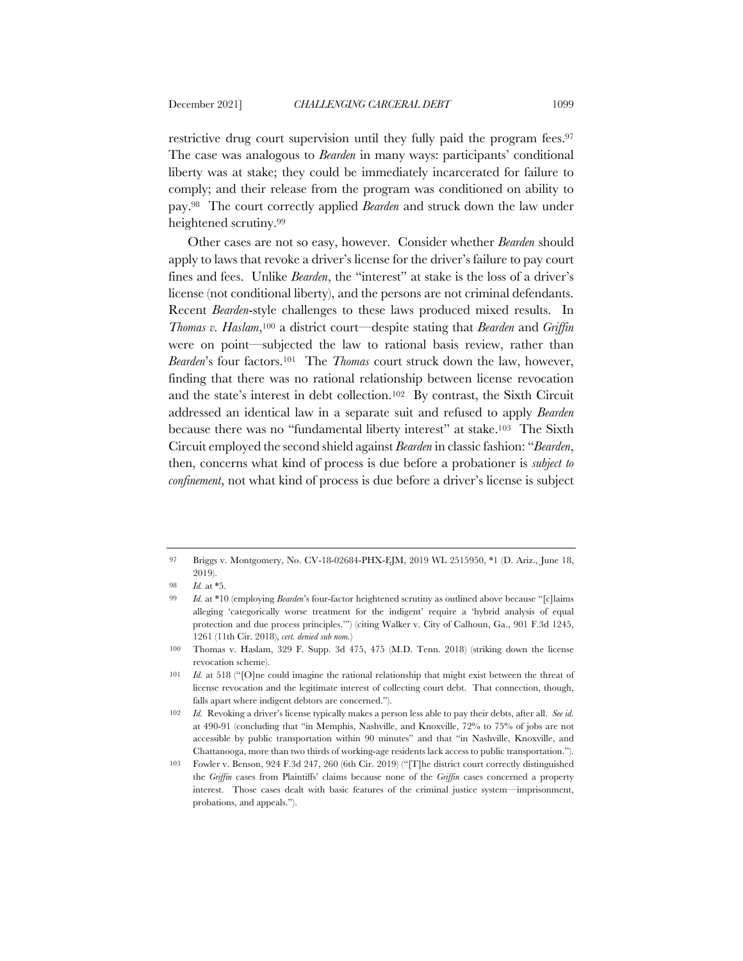restrictive drug court supervision until they fully paid the program fees.97 The case was analogous to *Bearden* in many ways: participants' conditional liberty was at stake; they could be immediately incarcerated for failure to comply; and their release from the program was conditioned on ability to pay.98 The court correctly applied *Bearden* and struck down the law under heightened scrutiny.99

Other cases are not so easy, however. Consider whether *Bearden* should apply to laws that revoke a driver's license for the driver's failure to pay court fines and fees. Unlike *Bearden*, the "interest" at stake is the loss of a driver's license (not conditional liberty), and the persons are not criminal defendants. Recent *Bearden*-style challenges to these laws produced mixed results. In *Thomas v. Haslam*,100 a district court—despite stating that *Bearden* and *Griffin*  were on point—subjected the law to rational basis review, rather than *Bearden*'s four factors.101 The *Thomas* court struck down the law, however, finding that there was no rational relationship between license revocation and the state's interest in debt collection.102 By contrast, the Sixth Circuit addressed an identical law in a separate suit and refused to apply *Bearden* because there was no "fundamental liberty interest" at stake.103 The Sixth Circuit employed the second shield against *Bearden* in classic fashion: "*Bearden*, then, concerns what kind of process is due before a probationer is *subject to confinement*, not what kind of process is due before a driver's license is subject

<sup>97</sup> Briggs v. Montgomery, No. CV-18-02684-PHX-EJM, 2019 WL 2515950, \*1 (D. Ariz., June 18, 2019).

<sup>98</sup> *Id.* at \*5.

<sup>99</sup> *Id.* at \*10 (employing *Bearden*'s four-factor heightened scrutiny as outlined above because "[c]laims alleging 'categorically worse treatment for the indigent' require a 'hybrid analysis of equal protection and due process principles.'") (citing Walker v. City of Calhoun, Ga., 901 F.3d 1245, 1261 (11th Cir. 2018), *cert. denied sub nom.*)

<sup>100</sup> Thomas v. Haslam, 329 F. Supp. 3d 475, 475 (M.D. Tenn. 2018) (striking down the license revocation scheme).

<sup>101</sup> *Id.* at 518 ("[O]ne could imagine the rational relationship that might exist between the threat of license revocation and the legitimate interest of collecting court debt. That connection, though, falls apart where indigent debtors are concerned.").

<sup>102</sup> *Id.* Revoking a driver's license typically makes a person less able to pay their debts, after all. *See id.* at 490-91 (concluding that "in Memphis, Nashville, and Knoxville, 72% to 75% of jobs are not accessible by public transportation within 90 minutes" and that "in Nashville, Knoxville, and Chattanooga, more than two thirds of working-age residents lack access to public transportation.").

<sup>103</sup> Fowler v. Benson, 924 F.3d 247, 260 (6th Cir. 2019) ("[T]he district court correctly distinguished the *Griffin* cases from Plaintiffs' claims because none of the *Griffin* cases concerned a property interest. Those cases dealt with basic features of the criminal justice system—imprisonment, probations, and appeals.").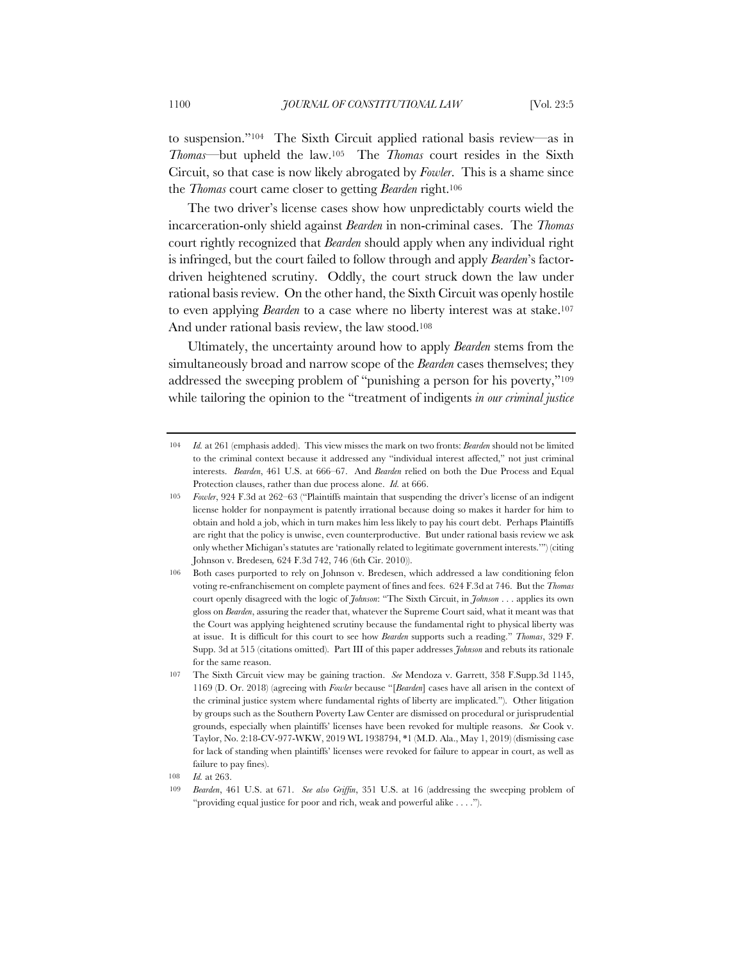to suspension."104 The Sixth Circuit applied rational basis review—as in *Thomas*—but upheld the law.105 The *Thomas* court resides in the Sixth Circuit, so that case is now likely abrogated by *Fowler*. This is a shame since the *Thomas* court came closer to getting *Bearden* right.106

The two driver's license cases show how unpredictably courts wield the incarceration-only shield against *Bearden* in non-criminal cases. The *Thomas*  court rightly recognized that *Bearden* should apply when any individual right is infringed, but the court failed to follow through and apply *Bearden*'s factordriven heightened scrutiny. Oddly, the court struck down the law under rational basis review. On the other hand, the Sixth Circuit was openly hostile to even applying *Bearden* to a case where no liberty interest was at stake.107 And under rational basis review, the law stood.108

Ultimately, the uncertainty around how to apply *Bearden* stems from the simultaneously broad and narrow scope of the *Bearden* cases themselves; they addressed the sweeping problem of "punishing a person for his poverty,"109 while tailoring the opinion to the "treatment of indigents *in our criminal justice* 

<sup>104</sup> *Id.* at 261 (emphasis added). This view misses the mark on two fronts: *Bearden* should not be limited to the criminal context because it addressed any "individual interest affected," not just criminal interests. *Bearden*, 461 U.S. at 666–67. And *Bearden* relied on both the Due Process and Equal Protection clauses, rather than due process alone. *Id.* at 666.

*Fowler*, 924 F.3d at 262–63 ("Plaintiffs maintain that suspending the driver's license of an indigent license holder for nonpayment is patently irrational because doing so makes it harder for him to obtain and hold a job, which in turn makes him less likely to pay his court debt. Perhaps Plaintiffs are right that the policy is unwise, even counterproductive. But under rational basis review we ask only whether Michigan's statutes are 'rationally related to legitimate government interests.'") (citing Johnson v. Bredesen*,* 624 F.3d 742, 746 (6th Cir. 2010)).

<sup>106</sup> Both cases purported to rely on Johnson v. Bredesen, which addressed a law conditioning felon voting re-enfranchisement on complete payment of fines and fees. 624 F.3d at 746. But the *Thomas*  court openly disagreed with the logic of *Johnson*: "The Sixth Circuit, in *Johnson* . . . applies its own gloss on *Bearden*, assuring the reader that, whatever the Supreme Court said, what it meant was that the Court was applying heightened scrutiny because the fundamental right to physical liberty was at issue. It is difficult for this court to see how *Bearden* supports such a reading." *Thomas*, 329 F. Supp. 3d at 515 (citations omitted). Part III of this paper addresses *Johnson* and rebuts its rationale for the same reason.

<sup>107</sup> The Sixth Circuit view may be gaining traction. *See* Mendoza v. Garrett, 358 F.Supp.3d 1145, 1169 (D. Or. 2018) (agreeing with *Fowler* because "[*Bearden*] cases have all arisen in the context of the criminal justice system where fundamental rights of liberty are implicated."). Other litigation by groups such as the Southern Poverty Law Center are dismissed on procedural or jurisprudential grounds, especially when plaintiffs' licenses have been revoked for multiple reasons. *See* Cook v. Taylor, No. 2:18-CV-977-WKW, 2019 WL 1938794, \*1 (M.D. Ala., May 1, 2019) (dismissing case for lack of standing when plaintiffs' licenses were revoked for failure to appear in court, as well as failure to pay fines).

<sup>108</sup> *Id.* at 263.

<sup>109</sup> *Bearden*, 461 U.S. at 671. *See also Griffin*, 351 U.S. at 16 (addressing the sweeping problem of "providing equal justice for poor and rich, weak and powerful alike . . . .").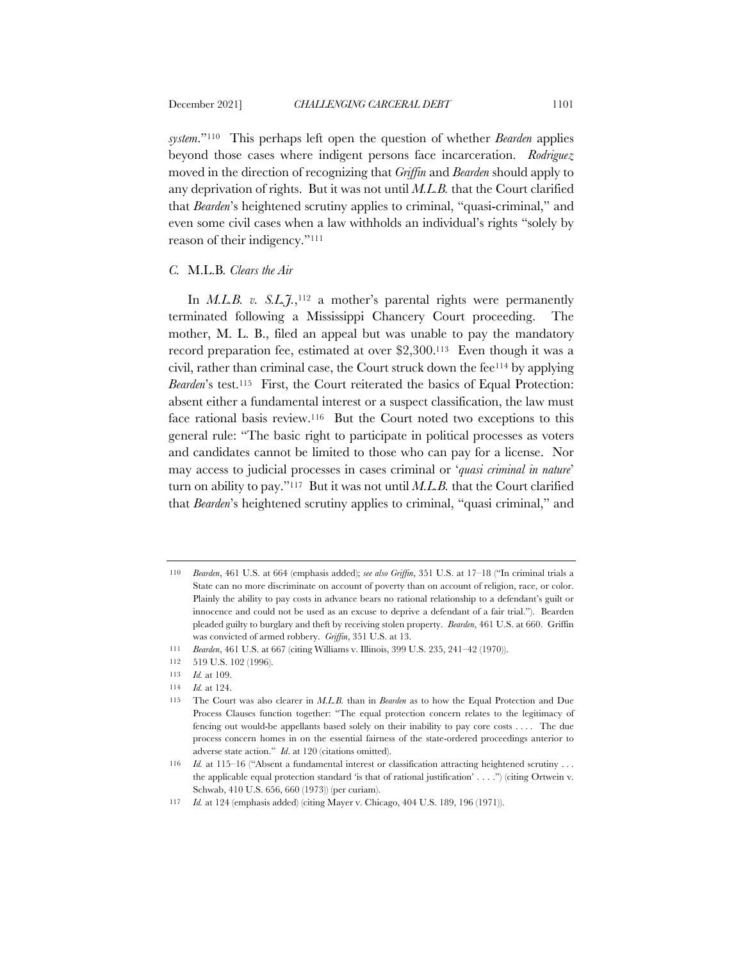*system*."110 This perhaps left open the question of whether *Bearden* applies beyond those cases where indigent persons face incarceration. *Rodriguez*  moved in the direction of recognizing that *Griffin* and *Bearden* should apply to any deprivation of rights. But it was not until *M.L.B.* that the Court clarified that *Bearden*'s heightened scrutiny applies to criminal, "quasi-criminal," and even some civil cases when a law withholds an individual's rights "solely by reason of their indigency."111

## *C.* M.L.B*. Clears the Air*

In  $M.L.B. v. S.L. \tilde{J}.$ <sup>112</sup> a mother's parental rights were permanently terminated following a Mississippi Chancery Court proceeding. The mother, M. L. B., filed an appeal but was unable to pay the mandatory record preparation fee, estimated at over \$2,300.113 Even though it was a civil, rather than criminal case, the Court struck down the fee114 by applying *Bearden*'s test.115 First, the Court reiterated the basics of Equal Protection: absent either a fundamental interest or a suspect classification, the law must face rational basis review.116 But the Court noted two exceptions to this general rule: "The basic right to participate in political processes as voters and candidates cannot be limited to those who can pay for a license. Nor may access to judicial processes in cases criminal or '*quasi criminal in nature*' turn on ability to pay."117 But it was not until *M.L.B.* that the Court clarified that *Bearden*'s heightened scrutiny applies to criminal, "quasi criminal," and

<sup>110</sup> *Bearden*, 461 U.S. at 664 (emphasis added); *see also Griffin*, 351 U.S. at 17–18 ("In criminal trials a State can no more discriminate on account of poverty than on account of religion, race, or color. Plainly the ability to pay costs in advance bears no rational relationship to a defendant's guilt or innocence and could not be used as an excuse to deprive a defendant of a fair trial."). Bearden pleaded guilty to burglary and theft by receiving stolen property. *Bearden*, 461 U.S. at 660. Griffin was convicted of armed robbery. *Griffin*, 351 U.S. at 13.

<sup>111</sup> *Bearden*, 461 U.S. at 667 (citing Williams v. Illinois, 399 U.S. 235, 241–42 (1970)).

<sup>112</sup> 519 U.S. 102 (1996).

<sup>113</sup> *Id.* at 109.

<sup>114</sup> *Id.* at 124.

<sup>115</sup> The Court was also clearer in *M.L.B.* than in *Bearden* as to how the Equal Protection and Due Process Clauses function together: "The equal protection concern relates to the legitimacy of fencing out would-be appellants based solely on their inability to pay core costs . . . . The due process concern homes in on the essential fairness of the state-ordered proceedings anterior to adverse state action." *Id*. at 120 (citations omitted).

<sup>116</sup> *Id.* at 115–16 ("Absent a fundamental interest or classification attracting heightened scrutiny . . . the applicable equal protection standard 'is that of rational justification' . . . .") (citing Ortwein v. Schwab, 410 U.S. 656, 660 (1973)) (per curiam).

<sup>117</sup> *Id.* at 124 (emphasis added) (citing Mayer v. Chicago, 404 U.S. 189, 196 (1971)).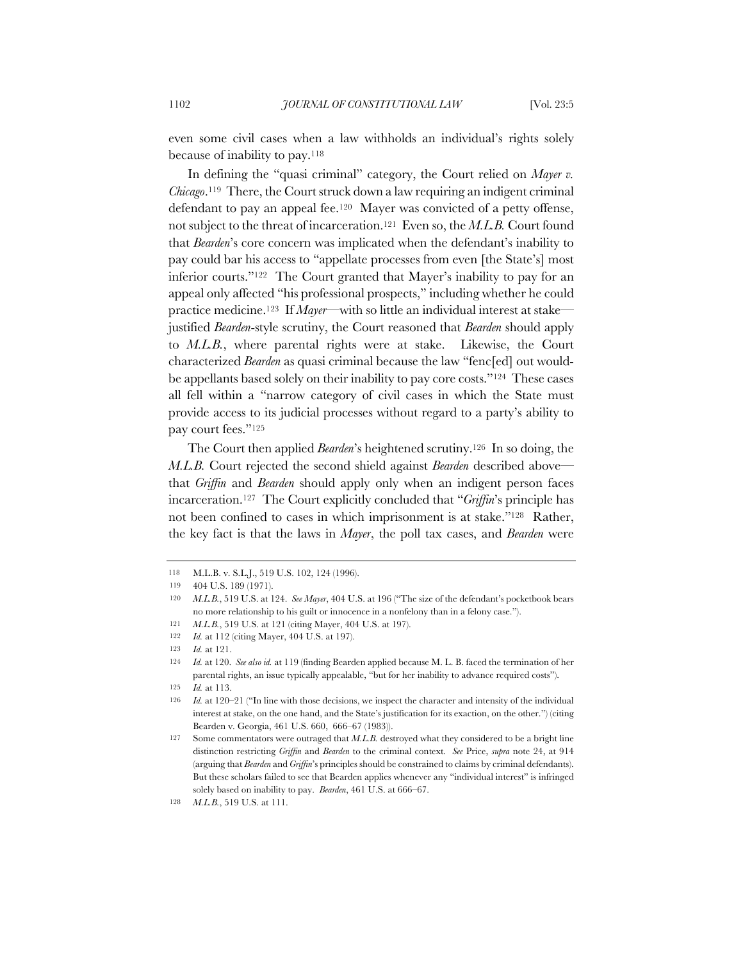even some civil cases when a law withholds an individual's rights solely because of inability to pay.118

In defining the "quasi criminal" category, the Court relied on *Mayer v. Chicago*.119 There, the Court struck down a law requiring an indigent criminal defendant to pay an appeal fee.<sup>120</sup> Mayer was convicted of a petty offense, not subject to the threat of incarceration.121 Even so, the *M.L.B.* Court found that *Bearden*'s core concern was implicated when the defendant's inability to pay could bar his access to "appellate processes from even [the State's] most inferior courts."122 The Court granted that Mayer's inability to pay for an appeal only affected "his professional prospects," including whether he could practice medicine.123 If *Mayer*—with so little an individual interest at stake justified *Bearden*-style scrutiny, the Court reasoned that *Bearden* should apply to *M.L.B.*, where parental rights were at stake. Likewise, the Court characterized *Bearden* as quasi criminal because the law "fenc[ed] out wouldbe appellants based solely on their inability to pay core costs."124 These cases all fell within a "narrow category of civil cases in which the State must provide access to its judicial processes without regard to a party's ability to pay court fees."125

The Court then applied *Bearden*'s heightened scrutiny.126 In so doing, the *M.L.B.* Court rejected the second shield against *Bearden* described above that *Griffin* and *Bearden* should apply only when an indigent person faces incarceration.127 The Court explicitly concluded that "*Griffin*'s principle has not been confined to cases in which imprisonment is at stake."128 Rather, the key fact is that the laws in *Mayer*, the poll tax cases, and *Bearden* were

<sup>118</sup> M.L.B. v. S.L.J., 519 U.S. 102, 124 (1996).

<sup>119</sup> 404 U.S. 189 (1971).

<sup>120</sup> *M.L.B.*, 519 U.S. at 124. *See Mayer*, 404 U.S. at 196 ("The size of the defendant's pocketbook bears no more relationship to his guilt or innocence in a nonfelony than in a felony case.").

<sup>121</sup> *M.L.B.*, 519 U.S. at 121 (citing Mayer, 404 U.S. at 197).

<sup>122</sup> *Id.* at 112 (citing Mayer, 404 U.S. at 197).

<sup>123</sup> *Id.* at 121.

<sup>124</sup> *Id.* at 120. *See also id.* at 119 (finding Bearden applied because M. L. B. faced the termination of her parental rights, an issue typically appealable, "but for her inability to advance required costs").

<sup>125</sup> *Id.* at 113.

<sup>126</sup> *Id.* at 120–21 ("In line with those decisions, we inspect the character and intensity of the individual interest at stake, on the one hand, and the State's justification for its exaction, on the other.") (citing Bearden v. Georgia, 461 U.S. 660, 666–67 (1983)).

<sup>127</sup> Some commentators were outraged that *M.L.B.* destroyed what they considered to be a bright line distinction restricting *Griffin* and *Bearden* to the criminal context. *See* Price, *supra* note 24, at 914 (arguing that *Bearden* and *Griffin*'s principles should be constrained to claims by criminal defendants). But these scholars failed to see that Bearden applies whenever any "individual interest" is infringed solely based on inability to pay. *Bearden*, 461 U.S. at 666–67.

<sup>128</sup> *M.L.B.*, 519 U.S. at 111.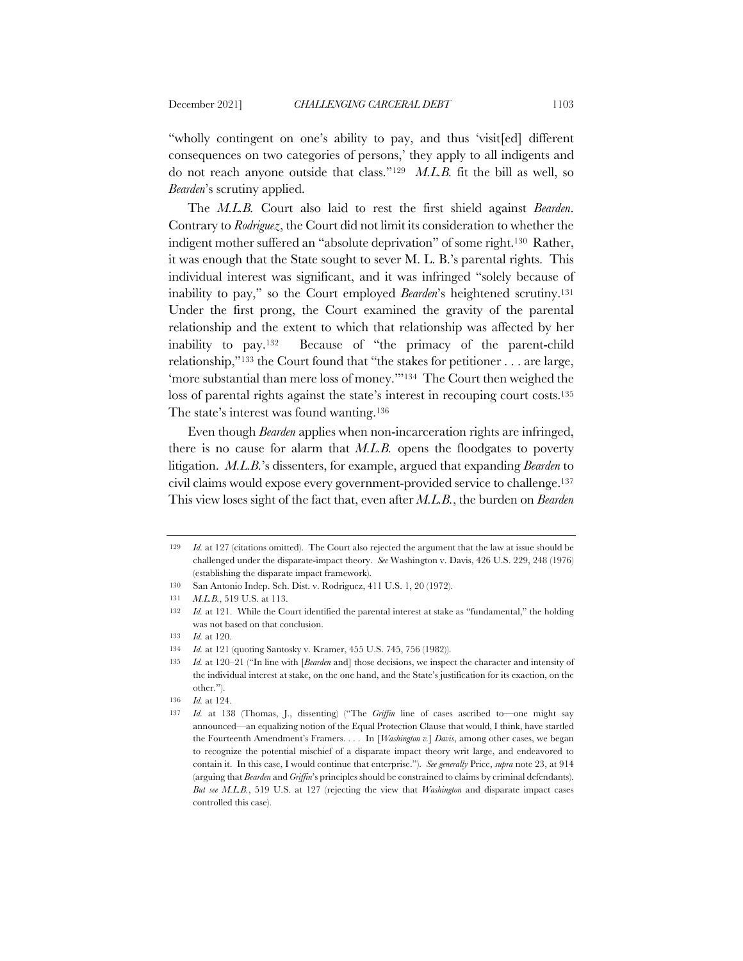"wholly contingent on one's ability to pay, and thus 'visit[ed] different consequences on two categories of persons,' they apply to all indigents and do not reach anyone outside that class."129 *M.L.B.* fit the bill as well, so *Bearden*'s scrutiny applied.

The *M.L.B.* Court also laid to rest the first shield against *Bearden*. Contrary to *Rodriguez*, the Court did not limit its consideration to whether the indigent mother suffered an "absolute deprivation" of some right.130 Rather, it was enough that the State sought to sever M. L. B.'s parental rights. This individual interest was significant, and it was infringed "solely because of inability to pay," so the Court employed *Bearden*'s heightened scrutiny.131 Under the first prong, the Court examined the gravity of the parental relationship and the extent to which that relationship was affected by her inability to pay.132 Because of "the primacy of the parent-child relationship,"133 the Court found that "the stakes for petitioner . . . are large, 'more substantial than mere loss of money.'"134 The Court then weighed the loss of parental rights against the state's interest in recouping court costs.<sup>135</sup> The state's interest was found wanting.136

Even though *Bearden* applies when non-incarceration rights are infringed, there is no cause for alarm that *M.L.B.* opens the floodgates to poverty litigation. *M.L.B.*'s dissenters, for example, argued that expanding *Bearden* to civil claims would expose every government-provided service to challenge.137 This view loses sight of the fact that, even after *M.L.B.*, the burden on *Bearden* 

<sup>129</sup> *Id.* at 127 (citations omitted). The Court also rejected the argument that the law at issue should be challenged under the disparate-impact theory. *See* Washington v. Davis, 426 U.S. 229, 248 (1976) (establishing the disparate impact framework).

<sup>130</sup> San Antonio Indep. Sch. Dist. v. Rodriguez, 411 U.S. 1, 20 (1972).

<sup>131</sup> *M.L.B.*, 519 U.S. at 113.

<sup>132</sup> *Id.* at 121. While the Court identified the parental interest at stake as "fundamental," the holding was not based on that conclusion.

<sup>133</sup> *Id.* at 120.

<sup>134</sup> *Id.* at 121 (quoting Santosky v. Kramer, 455 U.S. 745, 756 (1982)).

<sup>135</sup> *Id.* at 120–21 ("In line with [*Bearden* and] those decisions, we inspect the character and intensity of the individual interest at stake, on the one hand, and the State's justification for its exaction, on the other.").

<sup>136</sup> *Id.* at 124.

<sup>137</sup> *Id.* at 138 (Thomas, J., dissenting) ("The *Griffin* line of cases ascribed to—one might say announced—an equalizing notion of the Equal Protection Clause that would, I think, have startled the Fourteenth Amendment's Framers. . . . In [*Washington v.*] *Davis*, among other cases, we began to recognize the potential mischief of a disparate impact theory writ large, and endeavored to contain it. In this case, I would continue that enterprise."). *See generally* Price, *supra* note 23, at 914 (arguing that *Bearden* and *Griffin*'s principles should be constrained to claims by criminal defendants). *But see M.L.B.*, 519 U.S. at 127 (rejecting the view that *Washington* and disparate impact cases controlled this case).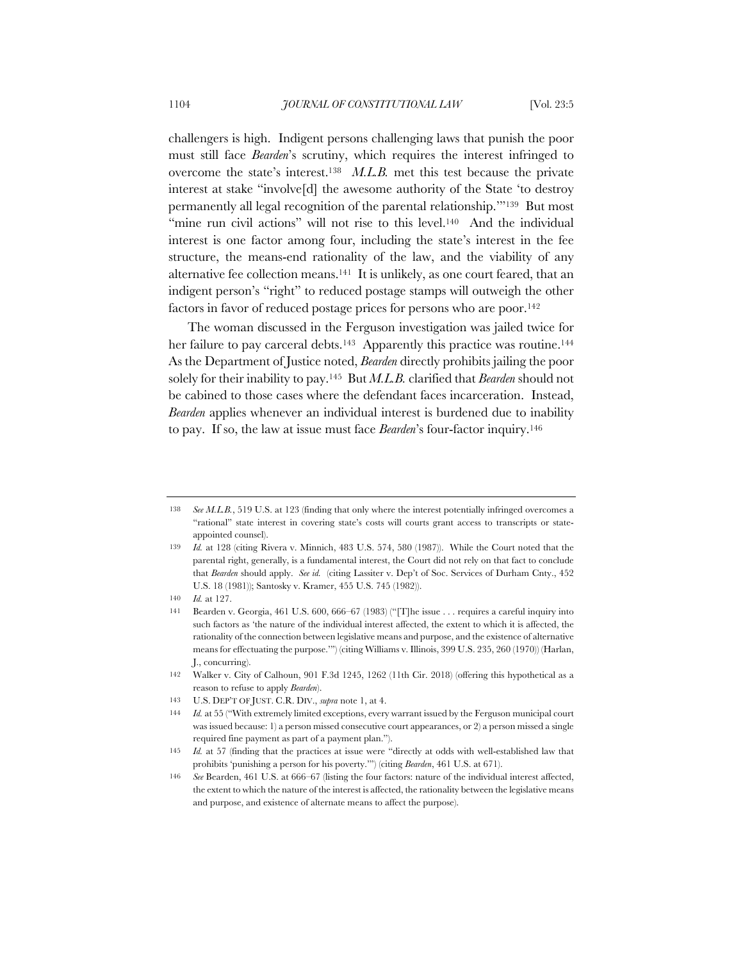challengers is high. Indigent persons challenging laws that punish the poor must still face *Bearden*'s scrutiny, which requires the interest infringed to overcome the state's interest.138 *M.L.B.* met this test because the private interest at stake "involve[d] the awesome authority of the State 'to destroy permanently all legal recognition of the parental relationship.'"139 But most "mine run civil actions" will not rise to this level.<sup>140</sup> And the individual interest is one factor among four, including the state's interest in the fee structure, the means-end rationality of the law, and the viability of any alternative fee collection means.141 It is unlikely, as one court feared, that an indigent person's "right" to reduced postage stamps will outweigh the other factors in favor of reduced postage prices for persons who are poor.142

The woman discussed in the Ferguson investigation was jailed twice for her failure to pay carceral debts.<sup>143</sup> Apparently this practice was routine.<sup>144</sup> As the Department of Justice noted, *Bearden* directly prohibits jailing the poor solely for their inability to pay.145 But *M.L.B.* clarified that *Bearden* should not be cabined to those cases where the defendant faces incarceration. Instead, *Bearden* applies whenever an individual interest is burdened due to inability to pay. If so, the law at issue must face *Bearden*'s four-factor inquiry.146

<sup>138</sup> *See M.L.B.*, 519 U.S. at 123 (finding that only where the interest potentially infringed overcomes a "rational" state interest in covering state's costs will courts grant access to transcripts or stateappointed counsel).

<sup>139</sup> *Id.* at 128 (citing Rivera v. Minnich, 483 U.S. 574, 580 (1987)). While the Court noted that the parental right, generally, is a fundamental interest, the Court did not rely on that fact to conclude that *Bearden* should apply. *See id.* (citing Lassiter v. Dep't of Soc. Services of Durham Cnty., 452 U.S. 18 (1981)); Santosky v. Kramer, 455 U.S. 745 (1982)).

<sup>140</sup> *Id.* at 127.

<sup>141</sup> Bearden v. Georgia, 461 U.S. 600, 666–67 (1983) ("[T]he issue . . . requires a careful inquiry into such factors as 'the nature of the individual interest affected, the extent to which it is affected, the rationality of the connection between legislative means and purpose, and the existence of alternative means for effectuating the purpose.'") (citing Williams v. Illinois, 399 U.S. 235, 260 (1970)) (Harlan, J., concurring).

<sup>142</sup> Walker v. City of Calhoun, 901 F.3d 1245, 1262 (11th Cir. 2018) (offering this hypothetical as a reason to refuse to apply *Bearden*).

<sup>143</sup> U.S. DEP'T OF JUST. C.R. DIV., *supra* note 1, at 4.

<sup>144</sup> *Id.* at 55 ("With extremely limited exceptions, every warrant issued by the Ferguson municipal court was issued because: 1) a person missed consecutive court appearances, or 2) a person missed a single required fine payment as part of a payment plan.").

<sup>145</sup> *Id.* at 57 (finding that the practices at issue were "directly at odds with well-established law that prohibits 'punishing a person for his poverty.'") (citing *Bearden*, 461 U.S. at 671).

<sup>146</sup> *See* Bearden, 461 U.S. at 666–67 (listing the four factors: nature of the individual interest affected, the extent to which the nature of the interest is affected, the rationality between the legislative means and purpose, and existence of alternate means to affect the purpose).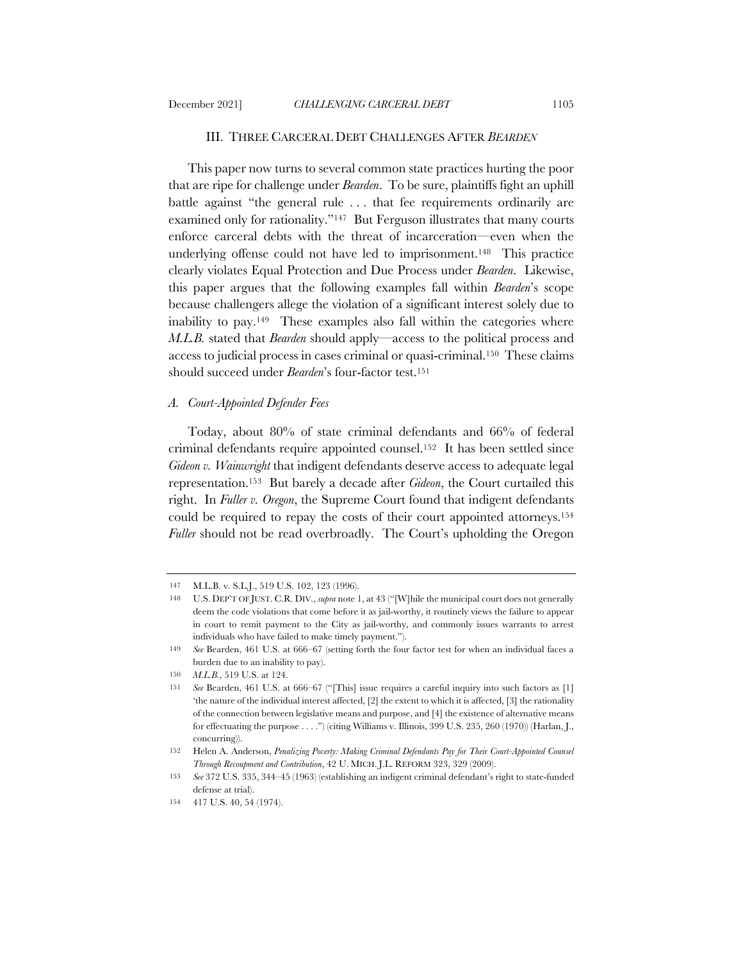#### III. THREE CARCERAL DEBT CHALLENGES AFTER *BEARDEN*

This paper now turns to several common state practices hurting the poor that are ripe for challenge under *Bearden*. To be sure, plaintiffs fight an uphill battle against "the general rule . . . that fee requirements ordinarily are examined only for rationality."<sup>147</sup> But Ferguson illustrates that many courts enforce carceral debts with the threat of incarceration—even when the underlying offense could not have led to imprisonment.148 This practice clearly violates Equal Protection and Due Process under *Bearden*. Likewise, this paper argues that the following examples fall within *Bearden*'s scope because challengers allege the violation of a significant interest solely due to inability to pay.149 These examples also fall within the categories where *M.L.B.* stated that *Bearden* should apply—access to the political process and access to judicial process in cases criminal or quasi-criminal.150 These claims should succeed under *Bearden*'s four-factor test.<sup>151</sup>

### *A. Court-Appointed Defender Fees*

Today, about 80% of state criminal defendants and 66% of federal criminal defendants require appointed counsel.152 It has been settled since *Gideon v. Wainwright* that indigent defendants deserve access to adequate legal representation.153 But barely a decade after *Gideon*, the Court curtailed this right. In *Fuller v. Oregon*, the Supreme Court found that indigent defendants could be required to repay the costs of their court appointed attorneys.154 *Fuller* should not be read overbroadly. The Court's upholding the Oregon

<sup>147</sup> M.L.B. v. S.L.J., 519 U.S. 102, 123 (1996).

<sup>148</sup> U.S. DEP'T OF JUST. C.R. DIV., *supra* note 1, at 43 ("[W]hile the municipal court does not generally deem the code violations that come before it as jail-worthy, it routinely views the failure to appear in court to remit payment to the City as jail-worthy, and commonly issues warrants to arrest individuals who have failed to make timely payment.").

<sup>149</sup> *See* Bearden, 461 U.S. at 666–67 (setting forth the four factor test for when an individual faces a burden due to an inability to pay).

<sup>150</sup> *M.L.B.*, 519 U.S. at 124.

<sup>151</sup> *See* Bearden, 461 U.S. at 666–67 ("[This] issue requires a careful inquiry into such factors as [1] 'the nature of the individual interest affected, [2] the extent to which it is affected, [3] the rationality of the connection between legislative means and purpose, and [4] the existence of alternative means for effectuating the purpose . . . .") (citing Williams v. Illinois, 399 U.S. 235, 260 (1970)) (Harlan, J., concurring)).

<sup>152</sup> Helen A. Anderson, *Penalizing Poverty: Making Criminal Defendants Pay for Their Court-Appointed Counsel Through Recoupment and Contribution*, 42 U. MICH. J.L. REFORM 323, 329 (2009).

<sup>153</sup> *See* 372 U.S. 335, 344–45 (1963) (establishing an indigent criminal defendant's right to state-funded defense at trial).

<sup>154</sup> 417 U.S. 40, 54 (1974).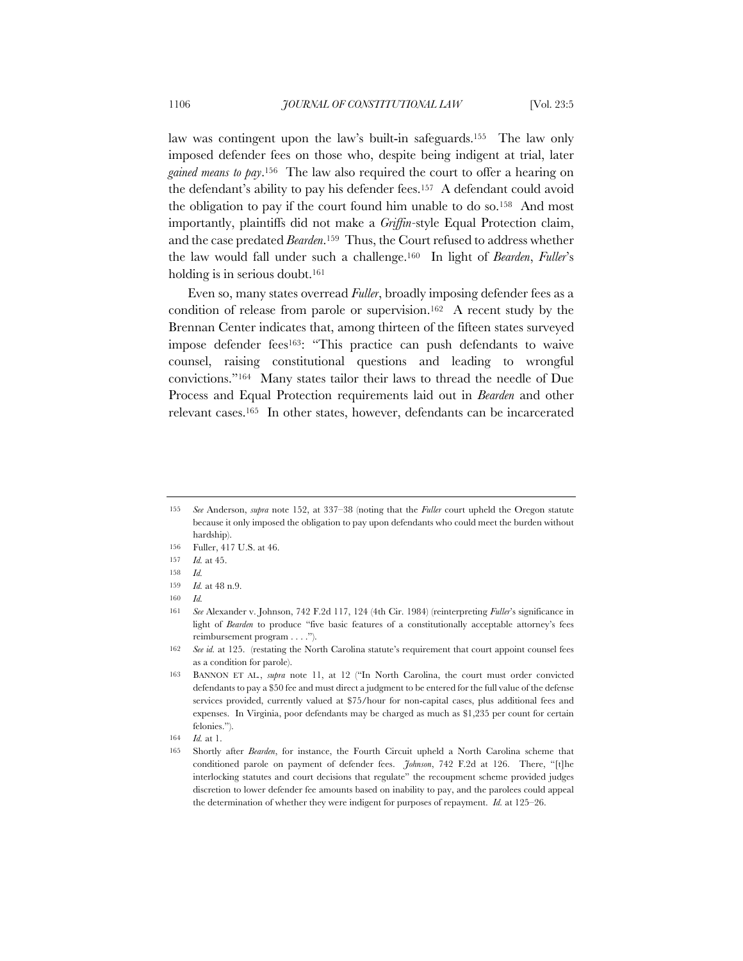law was contingent upon the law's built-in safeguards.155 The law only imposed defender fees on those who, despite being indigent at trial, later *gained means to pay*.156 The law also required the court to offer a hearing on the defendant's ability to pay his defender fees.157 A defendant could avoid the obligation to pay if the court found him unable to do so.158 And most importantly, plaintiffs did not make a *Griffin-*style Equal Protection claim, and the case predated *Bearden*.159 Thus, the Court refused to address whether the law would fall under such a challenge.160 In light of *Bearden*, *Fuller*'s holding is in serious doubt.<sup>161</sup>

Even so, many states overread *Fuller*, broadly imposing defender fees as a condition of release from parole or supervision.162 A recent study by the Brennan Center indicates that, among thirteen of the fifteen states surveyed impose defender fees163: "This practice can push defendants to waive counsel, raising constitutional questions and leading to wrongful convictions."164 Many states tailor their laws to thread the needle of Due Process and Equal Protection requirements laid out in *Bearden* and other relevant cases.165 In other states, however, defendants can be incarcerated

<sup>155</sup> *See* Anderson, *supra* note 152, at 337–38 (noting that the *Fuller* court upheld the Oregon statute because it only imposed the obligation to pay upon defendants who could meet the burden without hardship).

<sup>156</sup> Fuller, 417 U.S. at 46.

<sup>157</sup> *Id.* at 45.

<sup>158</sup> *Id.*

<sup>159</sup> *Id.* at 48 n.9.

<sup>160</sup> *Id.*

<sup>161</sup> *See* Alexander v. Johnson, 742 F.2d 117, 124 (4th Cir. 1984) (reinterpreting *Fuller*'s significance in light of *Bearden* to produce "five basic features of a constitutionally acceptable attorney's fees reimbursement program . . . .").

<sup>162</sup> *See id.* at 125. (restating the North Carolina statute's requirement that court appoint counsel fees as a condition for parole).

<sup>163</sup> BANNON ET AL*.*, *supra* note 11, at 12 ("In North Carolina, the court must order convicted defendants to pay a \$50 fee and must direct a judgment to be entered for the full value of the defense services provided, currently valued at \$75/hour for non-capital cases, plus additional fees and expenses. In Virginia, poor defendants may be charged as much as \$1,235 per count for certain felonies.").

<sup>164</sup> *Id.* at 1.

<sup>165</sup> Shortly after *Bearden*, for instance, the Fourth Circuit upheld a North Carolina scheme that conditioned parole on payment of defender fees. *Johnson*, 742 F.2d at 126. There, "[t]he interlocking statutes and court decisions that regulate" the recoupment scheme provided judges discretion to lower defender fee amounts based on inability to pay, and the parolees could appeal the determination of whether they were indigent for purposes of repayment. *Id.* at 125–26.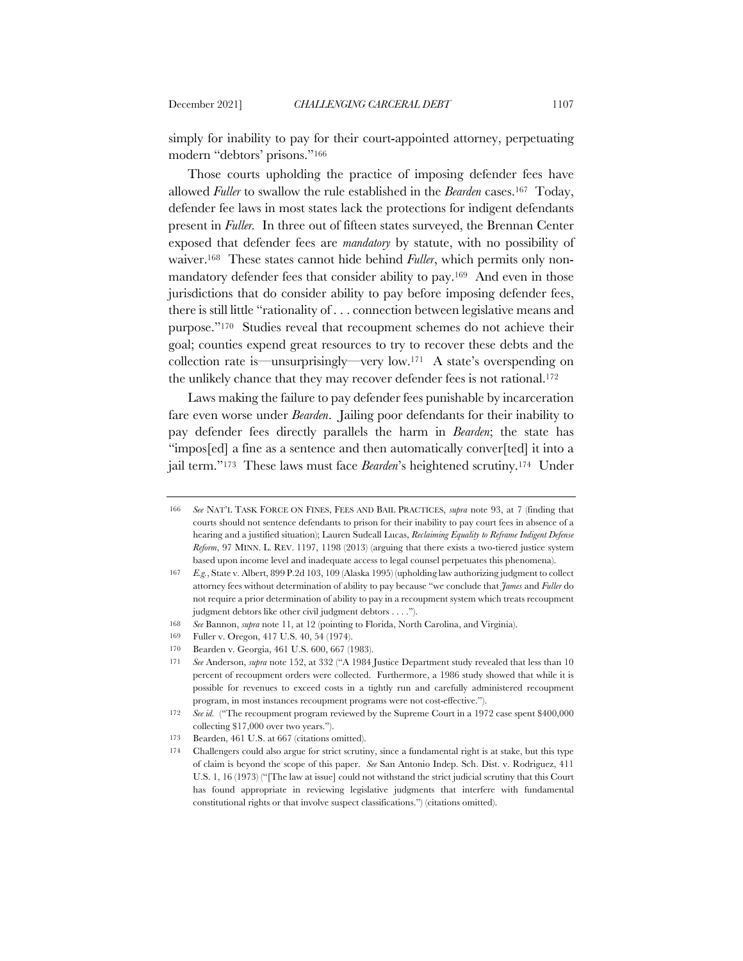simply for inability to pay for their court-appointed attorney, perpetuating modern "debtors' prisons."166

Those courts upholding the practice of imposing defender fees have allowed *Fuller* to swallow the rule established in the *Bearden* cases.167 Today, defender fee laws in most states lack the protections for indigent defendants present in *Fuller.* In three out of fifteen states surveyed, the Brennan Center exposed that defender fees are *mandatory* by statute, with no possibility of waiver.<sup>168</sup> These states cannot hide behind *Fuller*, which permits only nonmandatory defender fees that consider ability to pay.169 And even in those jurisdictions that do consider ability to pay before imposing defender fees, there is still little "rationality of . . . connection between legislative means and purpose."170 Studies reveal that recoupment schemes do not achieve their goal; counties expend great resources to try to recover these debts and the collection rate is—unsurprisingly—very low.171 A state's overspending on the unlikely chance that they may recover defender fees is not rational.172

Laws making the failure to pay defender fees punishable by incarceration fare even worse under *Bearden*. Jailing poor defendants for their inability to pay defender fees directly parallels the harm in *Bearden*; the state has "impos[ed] a fine as a sentence and then automatically conver[ted] it into a jail term."173 These laws must face *Bearden*'s heightened scrutiny.174 Under

<sup>166</sup> *See* NAT'L TASK FORCE ON FINES, FEES AND BAIL PRACTICES, *supra* note 93, at 7 (finding that courts should not sentence defendants to prison for their inability to pay court fees in absence of a hearing and a justified situation); Lauren Sudeall Lucas, *Reclaiming Equality to Reframe Indigent Defense Reform*, 97 MINN. L. REV. 1197, 1198 (2013) (arguing that there exists a two-tiered justice system based upon income level and inadequate access to legal counsel perpetuates this phenomena).

<sup>167</sup> *E.g.*, State v. Albert, 899 P.2d 103, 109 (Alaska 1995) (upholding law authorizing judgment to collect attorney fees without determination of ability to pay because "we conclude that *James* and *Fuller* do not require a prior determination of ability to pay in a recoupment system which treats recoupment judgment debtors like other civil judgment debtors . . . .").

<sup>168</sup> *See* Bannon, *supra* note 11, at 12 (pointing to Florida, North Carolina, and Virginia).

<sup>169</sup> Fuller v. Oregon, 417 U.S. 40, 54 (1974).

<sup>170</sup> Bearden v. Georgia, 461 U.S. 600, 667 (1983).

<sup>171</sup> *See* Anderson, *supra* note 152, at 332 ("A 1984 Justice Department study revealed that less than 10 percent of recoupment orders were collected. Furthermore, a 1986 study showed that while it is possible for revenues to exceed costs in a tightly run and carefully administered recoupment program, in most instances recoupment programs were not cost-effective.").

<sup>172</sup> *See id.* ("The recoupment program reviewed by the Supreme Court in a 1972 case spent \$400,000 collecting \$17,000 over two years.").

<sup>173</sup> Bearden, 461 U.S. at 667 (citations omitted).

<sup>174</sup> Challengers could also argue for strict scrutiny, since a fundamental right is at stake, but this type of claim is beyond the scope of this paper. *See* San Antonio Indep. Sch. Dist. v. Rodriguez, 411 U.S. 1, 16 (1973) ("[The law at issue] could not withstand the strict judicial scrutiny that this Court has found appropriate in reviewing legislative judgments that interfere with fundamental constitutional rights or that involve suspect classifications.") (citations omitted).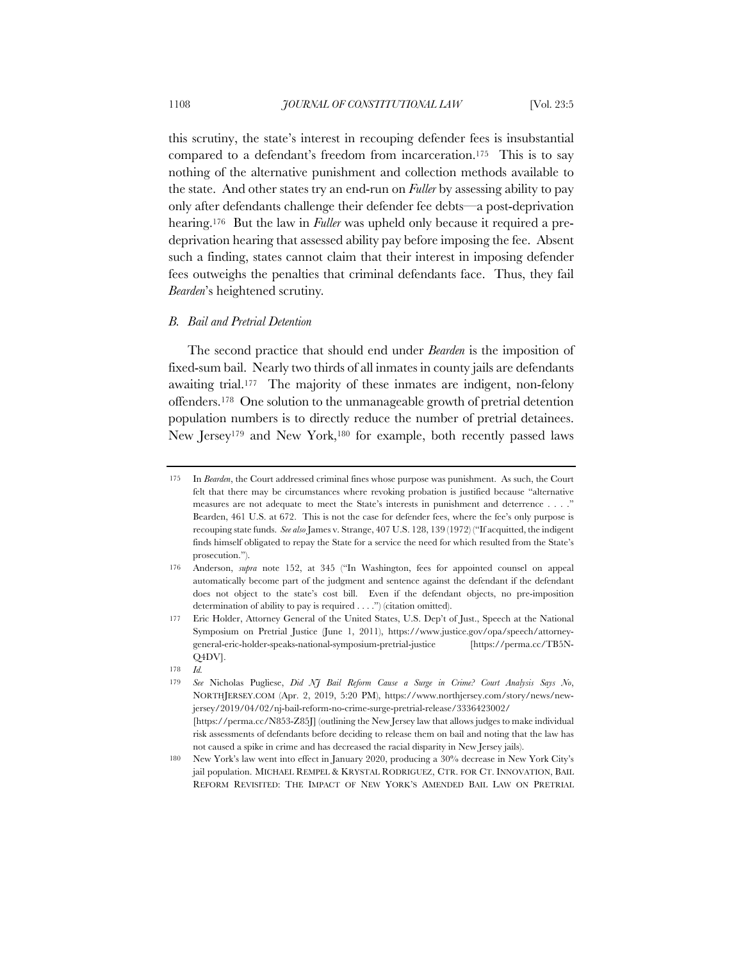this scrutiny, the state's interest in recouping defender fees is insubstantial compared to a defendant's freedom from incarceration.175 This is to say nothing of the alternative punishment and collection methods available to the state. And other states try an end-run on *Fuller* by assessing ability to pay only after defendants challenge their defender fee debts—a post-deprivation hearing.176 But the law in *Fuller* was upheld only because it required a predeprivation hearing that assessed ability pay before imposing the fee. Absent such a finding, states cannot claim that their interest in imposing defender fees outweighs the penalties that criminal defendants face. Thus, they fail *Bearden*'s heightened scrutiny*.*

## *B. Bail and Pretrial Detention*

The second practice that should end under *Bearden* is the imposition of fixed-sum bail. Nearly two thirds of all inmates in county jails are defendants awaiting trial.177 The majority of these inmates are indigent, non-felony offenders.178 One solution to the unmanageable growth of pretrial detention population numbers is to directly reduce the number of pretrial detainees. New Jersey179 and New York,180 for example, both recently passed laws

<sup>175</sup> In *Bearden*, the Court addressed criminal fines whose purpose was punishment. As such, the Court felt that there may be circumstances where revoking probation is justified because "alternative measures are not adequate to meet the State's interests in punishment and deterrence . . . ." Bearden, 461 U.S. at 672. This is not the case for defender fees, where the fee's only purpose is recouping state funds. *See also* James v. Strange, 407 U.S. 128, 139 (1972) ("If acquitted, the indigent finds himself obligated to repay the State for a service the need for which resulted from the State's prosecution.").

<sup>176</sup> Anderson, *supra* note 152, at 345 ("In Washington, fees for appointed counsel on appeal automatically become part of the judgment and sentence against the defendant if the defendant does not object to the state's cost bill. Even if the defendant objects, no pre-imposition determination of ability to pay is required . . . .") (citation omitted).

<sup>177</sup> Eric Holder, Attorney General of the United States, U.S. Dep't of Just., Speech at the National Symposium on Pretrial Justice (June 1, 2011), https://www.justice.gov/opa/speech/attorneygeneral-eric-holder-speaks-national-symposium-pretrial-justice [https://perma.cc/TB5N-Q4DV].

<sup>178</sup> *Id.*

<sup>179</sup> *See* Nicholas Pugliese, *Did NJ Bail Reform Cause a Surge in Crime? Court Analysis Says No*, NORTHJERSEY.COM (Apr. 2, 2019, 5:20 PM), https://www.northjersey.com/story/news/newjersey/2019/04/02/nj-bail-reform-no-crime-surge-pretrial-release/3336423002/ [https://perma.cc/N853-Z85J] (outlining the New Jersey law that allows judges to make individual risk assessments of defendants before deciding to release them on bail and noting that the law has not caused a spike in crime and has decreased the racial disparity in New Jersey jails).

<sup>180</sup> New York's law went into effect in January 2020, producing a 30% decrease in New York City's jail population. MICHAEL REMPEL & KRYSTAL RODRIGUEZ, CTR. FOR CT. INNOVATION, BAIL REFORM REVISITED: THE IMPACT OF NEW YORK'S AMENDED BAIL LAW ON PRETRIAL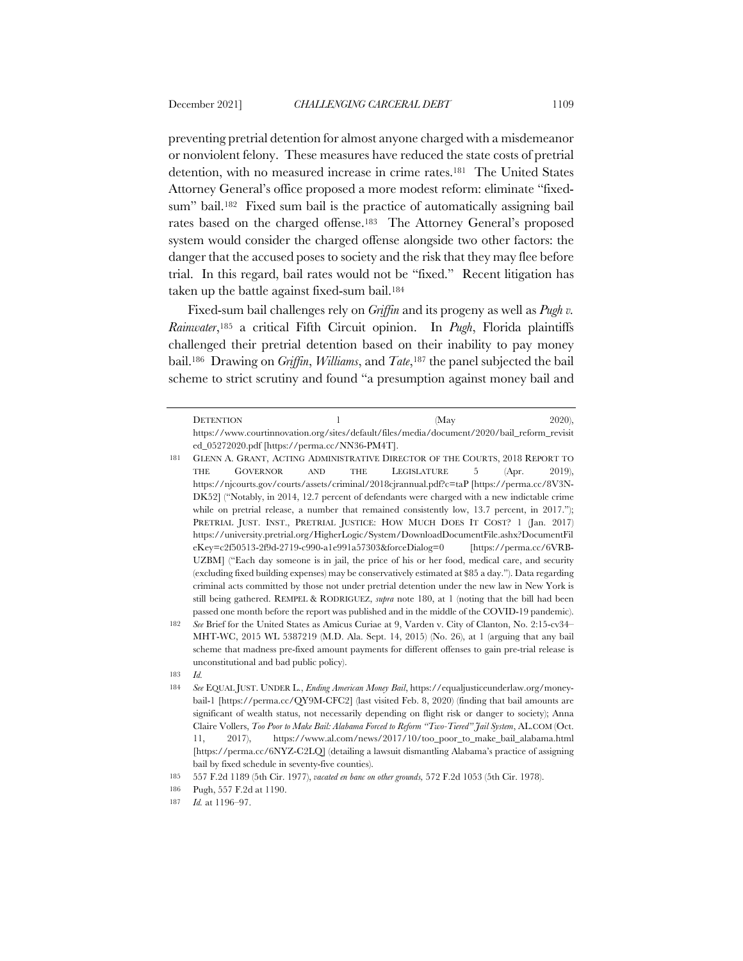preventing pretrial detention for almost anyone charged with a misdemeanor or nonviolent felony. These measures have reduced the state costs of pretrial detention, with no measured increase in crime rates.181 The United States Attorney General's office proposed a more modest reform: eliminate "fixedsum" bail.<sup>182</sup> Fixed sum bail is the practice of automatically assigning bail rates based on the charged offense.183 The Attorney General's proposed system would consider the charged offense alongside two other factors: the danger that the accused poses to society and the risk that they may flee before trial. In this regard, bail rates would not be "fixed." Recent litigation has taken up the battle against fixed-sum bail.184

Fixed-sum bail challenges rely on *Griffin* and its progeny as well as *Pugh v. Rainwater*,185 a critical Fifth Circuit opinion. In *Pugh*, Florida plaintiffs challenged their pretrial detention based on their inability to pay money bail.186 Drawing on *Griffin*, *Williams*, and *Tate*,187 the panel subjected the bail scheme to strict scrutiny and found "a presumption against money bail and

182 *See* Brief for the United States as Amicus Curiae at 9, Varden v. City of Clanton, No. 2:15-cv34– MHT-WC, 2015 WL 5387219 (M.D. Ala. Sept. 14, 2015) (No. 26), at 1 (arguing that any bail scheme that madness pre-fixed amount payments for different offenses to gain pre-trial release is unconstitutional and bad public policy).

DETENTION 1 (May 2020), https://www.courtinnovation.org/sites/default/files/media/document/2020/bail\_reform\_revisit ed\_05272020.pdf [https://perma.cc/NN36-PM4T].

<sup>181</sup> GLENN A. GRANT, ACTING ADMINISTRATIVE DIRECTOR OF THE COURTS, 2018 REPORT TO THE GOVERNOR AND THE LEGISLATURE 5 (Apr. 2019), https://njcourts.gov/courts/assets/criminal/2018cjrannual.pdf?c=taP [https://perma.cc/8V3N-DK52] ("Notably, in 2014, 12.7 percent of defendants were charged with a new indictable crime while on pretrial release, a number that remained consistently low, 13.7 percent, in 2017."); PRETRIAL JUST. INST., PRETRIAL JUSTICE: HOW MUCH DOES IT COST? 1 (Jan. 2017) https://university.pretrial.org/HigherLogic/System/DownloadDocumentFile.ashx?DocumentFil eKey=c2f50513-2f9d-2719-c990-a1e991a57303&forceDialog=0 [https://perma.cc/6VRB-UZBM] ("Each day someone is in jail, the price of his or her food, medical care, and security (excluding fixed building expenses) may be conservatively estimated at \$85 a day."). Data regarding criminal acts committed by those not under pretrial detention under the new law in New York is still being gathered. REMPEL & RODRIGUEZ, *supra* note 180, at 1 (noting that the bill had been passed one month before the report was published and in the middle of the COVID-19 pandemic).

<sup>183</sup> *Id.*

<sup>184</sup> *See* EQUAL JUST. UNDER L., *Ending American Money Bail*, https://equaljusticeunderlaw.org/moneybail-1 [https://perma.cc/QY9M-CFC2] (last visited Feb. 8, 2020) (finding that bail amounts are significant of wealth status, not necessarily depending on flight risk or danger to society); Anna Claire Vollers, *Too Poor to Make Bail: Alabama Forced to Reform "Two-Tiered" Jail System*, AL.COM (Oct. 11, 2017), https://www.al.com/news/2017/10/too\_poor\_to\_make\_bail\_alabama.html [https://perma.cc/6NYZ-C2LQ] (detailing a lawsuit dismantling Alabama's practice of assigning bail by fixed schedule in seventy-five counties).

<sup>185</sup> 557 F.2d 1189 (5th Cir. 1977), *vacated en banc on other grounds,* 572 F.2d 1053 (5th Cir. 1978).

<sup>186</sup> Pugh, 557 F.2d at 1190.

<sup>187</sup> *Id.* at 1196–97.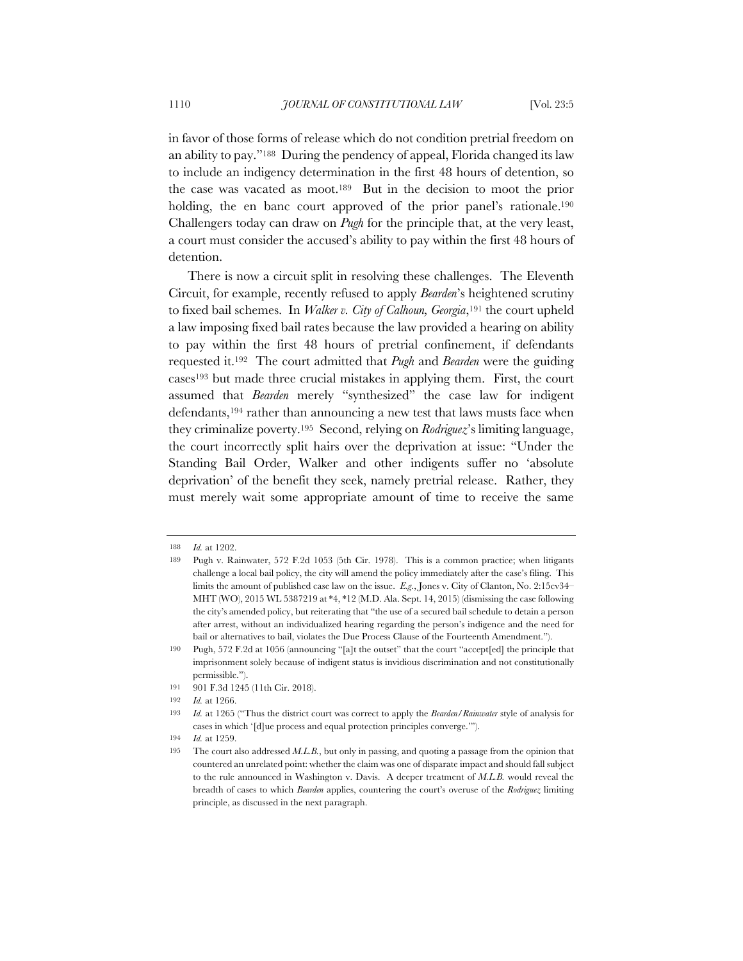in favor of those forms of release which do not condition pretrial freedom on an ability to pay."188 During the pendency of appeal, Florida changed its law to include an indigency determination in the first 48 hours of detention, so the case was vacated as moot.189 But in the decision to moot the prior holding, the en banc court approved of the prior panel's rationale.<sup>190</sup> Challengers today can draw on *Pugh* for the principle that, at the very least, a court must consider the accused's ability to pay within the first 48 hours of detention.

There is now a circuit split in resolving these challenges. The Eleventh Circuit, for example, recently refused to apply *Bearden*'s heightened scrutiny to fixed bail schemes. In *Walker v. City of Calhoun, Georgia*,191 the court upheld a law imposing fixed bail rates because the law provided a hearing on ability to pay within the first 48 hours of pretrial confinement, if defendants requested it.192 The court admitted that *Pugh* and *Bearden* were the guiding cases193 but made three crucial mistakes in applying them. First, the court assumed that *Bearden* merely "synthesized" the case law for indigent defendants,194 rather than announcing a new test that laws musts face when they criminalize poverty.195 Second, relying on *Rodriguez*'s limiting language, the court incorrectly split hairs over the deprivation at issue: "Under the Standing Bail Order, Walker and other indigents suffer no 'absolute deprivation' of the benefit they seek, namely pretrial release. Rather, they must merely wait some appropriate amount of time to receive the same

<sup>188</sup> *Id.* at 1202.

<sup>189</sup> Pugh v. Rainwater, 572 F.2d 1053 (5th Cir. 1978). This is a common practice; when litigants challenge a local bail policy, the city will amend the policy immediately after the case's filing. This limits the amount of published case law on the issue. *E.g.*, Jones v. City of Clanton, No. 2:15cv34– MHT (WO), 2015 WL 5387219 at \*4, \*12 (M.D. Ala. Sept. 14, 2015) (dismissing the case following the city's amended policy, but reiterating that "the use of a secured bail schedule to detain a person after arrest, without an individualized hearing regarding the person's indigence and the need for bail or alternatives to bail, violates the Due Process Clause of the Fourteenth Amendment.").

<sup>190</sup> Pugh, 572 F.2d at 1056 (announcing "[a]t the outset" that the court "accept[ed] the principle that imprisonment solely because of indigent status is invidious discrimination and not constitutionally permissible.").

<sup>191</sup> 901 F.3d 1245 (11th Cir. 2018).

<sup>192</sup> *Id.* at 1266.

<sup>193</sup> *Id.* at 1265 ("Thus the district court was correct to apply the *Bearden*/*Rainwater* style of analysis for cases in which '[d]ue process and equal protection principles converge.'").

<sup>194</sup> *Id.* at 1259.

<sup>195</sup> The court also addressed *M.L.B.*, but only in passing, and quoting a passage from the opinion that countered an unrelated point: whether the claim was one of disparate impact and should fall subject to the rule announced in Washington v. Davis. A deeper treatment of *M.L.B.* would reveal the breadth of cases to which *Bearden* applies, countering the court's overuse of the *Rodriguez* limiting principle, as discussed in the next paragraph.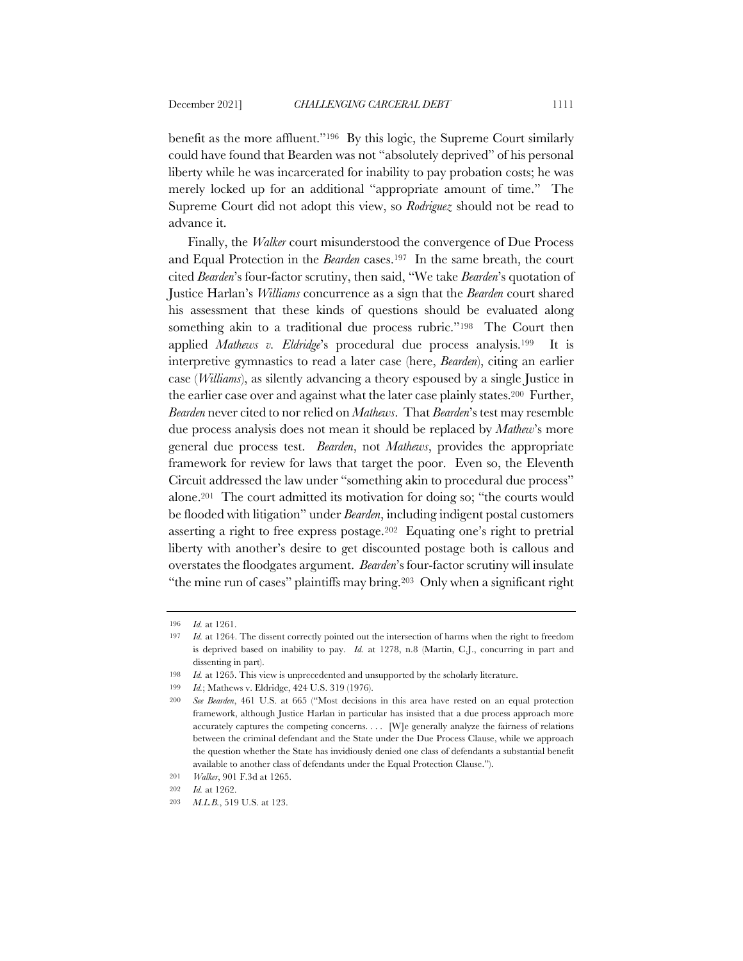benefit as the more affluent."196 By this logic, the Supreme Court similarly could have found that Bearden was not "absolutely deprived" of his personal liberty while he was incarcerated for inability to pay probation costs; he was merely locked up for an additional "appropriate amount of time." The Supreme Court did not adopt this view, so *Rodriguez* should not be read to advance it.

Finally, the *Walker* court misunderstood the convergence of Due Process and Equal Protection in the *Bearden* cases.197 In the same breath, the court cited *Bearden*'s four-factor scrutiny, then said, "We take *Bearden*'s quotation of Justice Harlan's *Williams* concurrence as a sign that the *Bearden* court shared his assessment that these kinds of questions should be evaluated along something akin to a traditional due process rubric."<sup>198</sup> The Court then applied *Mathews v. Eldridge*'s procedural due process analysis.199 It is interpretive gymnastics to read a later case (here, *Bearden*), citing an earlier case (*Williams*), as silently advancing a theory espoused by a single Justice in the earlier case over and against what the later case plainly states.200 Further, *Bearden* never cited to nor relied on *Mathews*. That *Bearden*'s test may resemble due process analysis does not mean it should be replaced by *Mathew*'s more general due process test. *Bearden*, not *Mathews*, provides the appropriate framework for review for laws that target the poor. Even so, the Eleventh Circuit addressed the law under "something akin to procedural due process" alone.201 The court admitted its motivation for doing so; "the courts would be flooded with litigation" under *Bearden*, including indigent postal customers asserting a right to free express postage.202 Equating one's right to pretrial liberty with another's desire to get discounted postage both is callous and overstates the floodgates argument. *Bearden*'s four-factor scrutiny will insulate "the mine run of cases" plaintiffs may bring.203 Only when a significant right

<sup>196</sup> *Id.* at 1261.

<sup>197</sup> *Id.* at 1264. The dissent correctly pointed out the intersection of harms when the right to freedom is deprived based on inability to pay. *Id.* at 1278, n.8 (Martin, C.J., concurring in part and dissenting in part).

<sup>198</sup> *Id.* at 1265. This view is unprecedented and unsupported by the scholarly literature.

<sup>199</sup> *Id.*; Mathews v. Eldridge, 424 U.S. 319 (1976).

<sup>200</sup> *See Bearden*, 461 U.S. at 665 ("Most decisions in this area have rested on an equal protection framework, although Justice Harlan in particular has insisted that a due process approach more accurately captures the competing concerns. . . . [W]e generally analyze the fairness of relations between the criminal defendant and the State under the Due Process Clause, while we approach the question whether the State has invidiously denied one class of defendants a substantial benefit available to another class of defendants under the Equal Protection Clause.").

<sup>201</sup> *Walker*, 901 F.3d at 1265.

<sup>202</sup> *Id.* at 1262.

<sup>203</sup> *M.L.B.*, 519 U.S. at 123.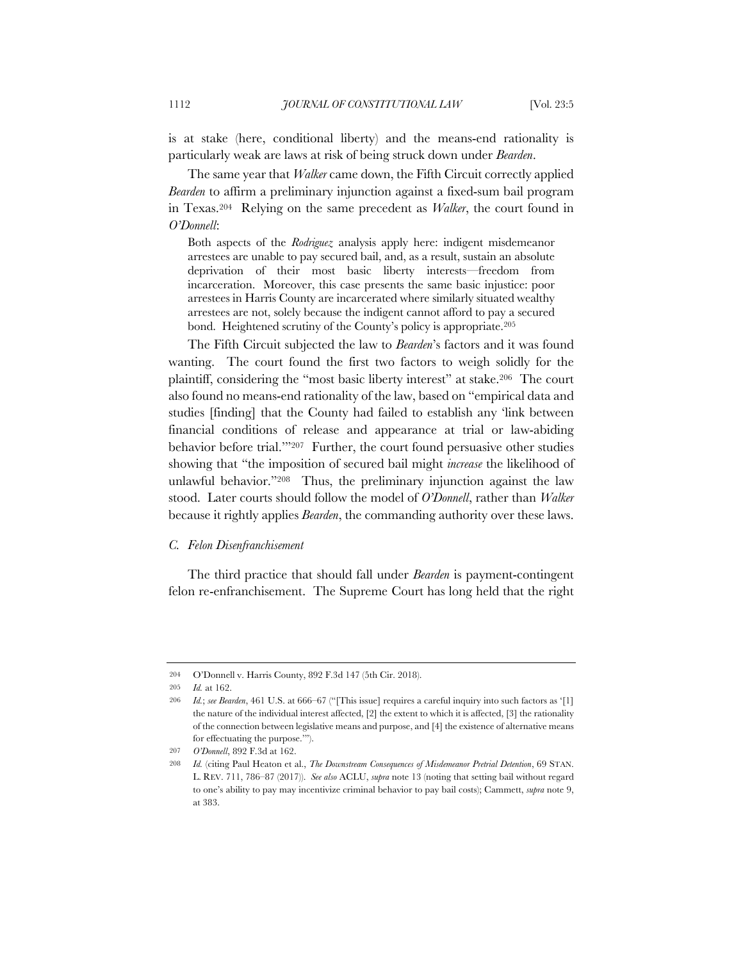is at stake (here, conditional liberty) and the means-end rationality is particularly weak are laws at risk of being struck down under *Bearden*.

The same year that *Walker* came down, the Fifth Circuit correctly applied *Bearden* to affirm a preliminary injunction against a fixed-sum bail program in Texas.204 Relying on the same precedent as *Walker*, the court found in *O'Donnell*:

Both aspects of the *Rodriguez* analysis apply here: indigent misdemeanor arrestees are unable to pay secured bail, and, as a result, sustain an absolute deprivation of their most basic liberty interests—freedom from incarceration. Moreover, this case presents the same basic injustice: poor arrestees in Harris County are incarcerated where similarly situated wealthy arrestees are not, solely because the indigent cannot afford to pay a secured bond. Heightened scrutiny of the County's policy is appropriate.205

The Fifth Circuit subjected the law to *Bearden*'s factors and it was found wanting. The court found the first two factors to weigh solidly for the plaintiff, considering the "most basic liberty interest" at stake.206 The court also found no means-end rationality of the law, based on "empirical data and studies [finding] that the County had failed to establish any 'link between financial conditions of release and appearance at trial or law-abiding behavior before trial.""207 Further, the court found persuasive other studies showing that "the imposition of secured bail might *increase* the likelihood of unlawful behavior."208 Thus, the preliminary injunction against the law stood. Later courts should follow the model of *O'Donnell*, rather than *Walker*  because it rightly applies *Bearden*, the commanding authority over these laws.

#### *C. Felon Disenfranchisement*

The third practice that should fall under *Bearden* is payment-contingent felon re-enfranchisement. The Supreme Court has long held that the right

<sup>204</sup> O'Donnell v. Harris County, 892 F.3d 147 (5th Cir. 2018).

<sup>205</sup> *Id.* at 162.

<sup>206</sup> *Id.*; *see Bearden*, 461 U.S. at 666–67 ("[This issue] requires a careful inquiry into such factors as '[1] the nature of the individual interest affected, [2] the extent to which it is affected, [3] the rationality of the connection between legislative means and purpose, and [4] the existence of alternative means for effectuating the purpose.'").

<sup>207</sup> *O'Donnell*, 892 F.3d at 162.

<sup>208</sup> *Id.* (citing Paul Heaton et al., *The Downstream Consequences of Misdemeanor Pretrial Detention*, 69 STAN. L. REV. 711, 786–87 (2017)). *See also* ACLU, *supra* note 13 (noting that setting bail without regard to one's ability to pay may incentivize criminal behavior to pay bail costs); Cammett, *supra* note 9, at 383.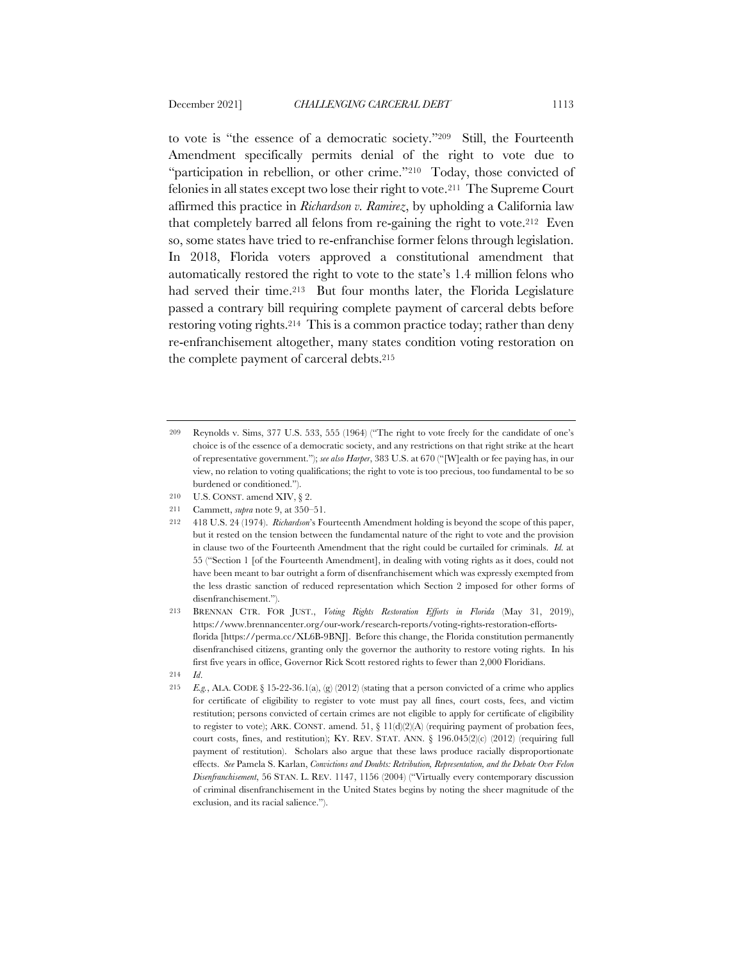to vote is "the essence of a democratic society."209 Still, the Fourteenth Amendment specifically permits denial of the right to vote due to "participation in rebellion, or other crime."<sup>210</sup> Today, those convicted of felonies in all states except two lose their right to vote.211 The Supreme Court affirmed this practice in *Richardson v. Ramirez*, by upholding a California law that completely barred all felons from re-gaining the right to vote.212 Even so, some states have tried to re-enfranchise former felons through legislation. In 2018, Florida voters approved a constitutional amendment that automatically restored the right to vote to the state's 1.4 million felons who had served their time.<sup>213</sup> But four months later, the Florida Legislature passed a contrary bill requiring complete payment of carceral debts before restoring voting rights.214 This is a common practice today; rather than deny re-enfranchisement altogether, many states condition voting restoration on the complete payment of carceral debts.215

- 210 U.S. CONST. amend XIV, § 2.
- 211 Cammett, *supra* note 9, at 350–51.
- 212 418 U.S. 24 (1974). *Richardson*'s Fourteenth Amendment holding is beyond the scope of this paper, but it rested on the tension between the fundamental nature of the right to vote and the provision in clause two of the Fourteenth Amendment that the right could be curtailed for criminals. *Id.* at 55 ("Section 1 [of the Fourteenth Amendment], in dealing with voting rights as it does, could not have been meant to bar outright a form of disenfranchisement which was expressly exempted from the less drastic sanction of reduced representation which Section 2 imposed for other forms of disenfranchisement.").
- 213 BRENNAN CTR. FOR JUST., *Voting Rights Restoration Efforts in Florida* (May 31, 2019), https://www.brennancenter.org/our-work/research-reports/voting-rights-restoration-effortsflorida [https://perma.cc/XL6B-9BNJ]. Before this change, the Florida constitution permanently disenfranchised citizens, granting only the governor the authority to restore voting rights. In his first five years in office, Governor Rick Scott restored rights to fewer than 2,000 Floridians.

215 *E.g.*, ALA. CODE § 15-22-36.1(a), (g) (2012) (stating that a person convicted of a crime who applies for certificate of eligibility to register to vote must pay all fines, court costs, fees, and victim restitution; persons convicted of certain crimes are not eligible to apply for certificate of eligibility to register to vote); ARK. CONST. amend.  $51$ ,  $\S$   $11(d)(2)(A)$  (requiring payment of probation fees, court costs, fines, and restitution); KY. REV. STAT. ANN. § 196.045(2)(c) (2012) (requiring full payment of restitution). Scholars also argue that these laws produce racially disproportionate effects. *See* Pamela S. Karlan, *Convictions and Doubts: Retribution, Representation, and the Debate Over Felon Disenfranchisement*, 56 STAN. L. REV. 1147, 1156 (2004) ("Virtually every contemporary discussion of criminal disenfranchisement in the United States begins by noting the sheer magnitude of the exclusion, and its racial salience.").

<sup>209</sup> Reynolds v. Sims, 377 U.S. 533, 555 (1964) ("The right to vote freely for the candidate of one's choice is of the essence of a democratic society, and any restrictions on that right strike at the heart of representative government."); *see also Harper*, 383 U.S. at 670 ("[W]ealth or fee paying has, in our view, no relation to voting qualifications; the right to vote is too precious, too fundamental to be so burdened or conditioned.").

<sup>214</sup> *Id*.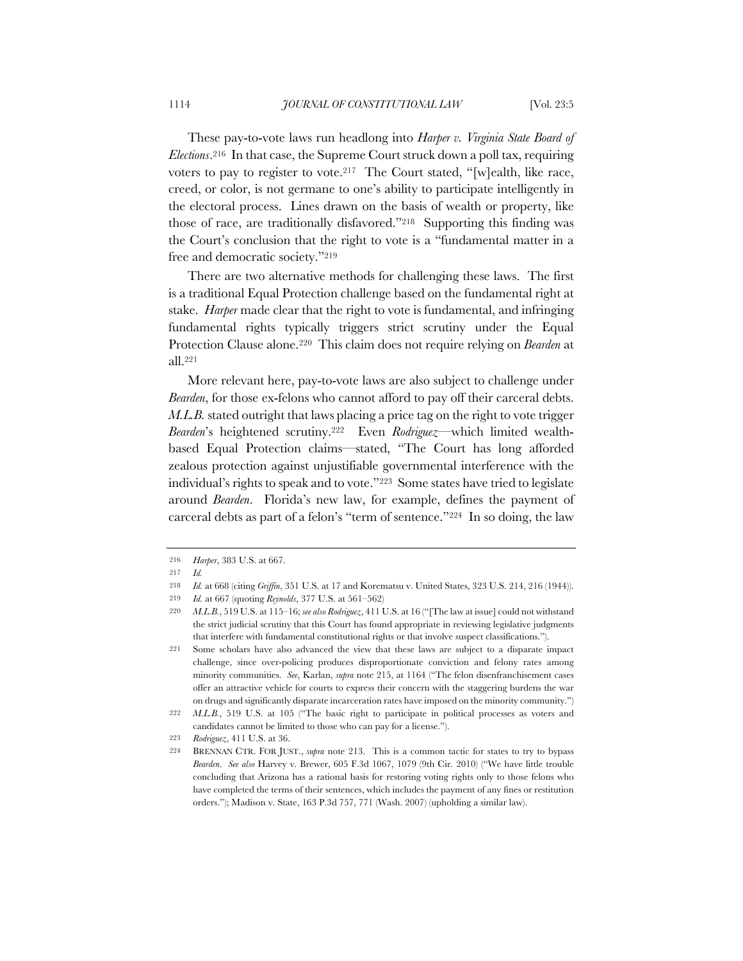These pay-to-vote laws run headlong into *Harper v. Virginia State Board of Elections*.216 In that case, the Supreme Court struck down a poll tax, requiring voters to pay to register to vote.<sup>217</sup> The Court stated, "[w]ealth, like race, creed, or color, is not germane to one's ability to participate intelligently in the electoral process. Lines drawn on the basis of wealth or property, like those of race, are traditionally disfavored."218 Supporting this finding was the Court's conclusion that the right to vote is a "fundamental matter in a free and democratic society."219

There are two alternative methods for challenging these laws. The first is a traditional Equal Protection challenge based on the fundamental right at stake. *Harper* made clear that the right to vote is fundamental, and infringing fundamental rights typically triggers strict scrutiny under the Equal Protection Clause alone.220 This claim does not require relying on *Bearden* at all.221

More relevant here, pay-to-vote laws are also subject to challenge under *Bearden*, for those ex-felons who cannot afford to pay off their carceral debts. *M.L.B.* stated outright that laws placing a price tag on the right to vote trigger *Bearden*'s heightened scrutiny.222 Even *Rodriguez—*which limited wealthbased Equal Protection claims—stated, "The Court has long afforded zealous protection against unjustifiable governmental interference with the individual's rights to speak and to vote."223 Some states have tried to legislate around *Bearden*. Florida's new law, for example, defines the payment of carceral debts as part of a felon's "term of sentence."224 In so doing, the law

<sup>216</sup> *Harper*, 383 U.S. at 667.

<sup>217</sup> *Id.*

<sup>218</sup> *Id.* at 668 (citing *Griffin*, 351 U.S. at 17 and Korematsu v. United States, 323 U.S. 214, 216 (1944)).

<sup>219</sup> *Id.* at 667 (quoting *Reynolds*, 377 U.S. at 561–562)

<sup>220</sup> *M.L.B.*, 519 U.S. at 115–16; *see also Rodriguez*, 411 U.S. at 16 ("[The law at issue] could not withstand the strict judicial scrutiny that this Court has found appropriate in reviewing legislative judgments that interfere with fundamental constitutional rights or that involve suspect classifications.").

<sup>221</sup> Some scholars have also advanced the view that these laws are subject to a disparate impact challenge, since over-policing produces disproportionate conviction and felony rates among minority communities. *See*, Karlan, *supra* note 215, at 1164 ("The felon disenfranchisement cases offer an attractive vehicle for courts to express their concern with the staggering burdens the war on drugs and significantly disparate incarceration rates have imposed on the minority community.")

<sup>222</sup> *M.L.B.*, 519 U.S. at 105 ("The basic right to participate in political processes as voters and candidates cannot be limited to those who can pay for a license.").

<sup>223</sup> *Rodriguez*, 411 U.S. at 36.

<sup>224</sup> BRENNAN CTR. FOR JUST., *supra* note 213. This is a common tactic for states to try to bypass *Bearden*. *See also* Harvey v. Brewer, 605 F.3d 1067, 1079 (9th Cir. 2010) ("We have little trouble concluding that Arizona has a rational basis for restoring voting rights only to those felons who have completed the terms of their sentences, which includes the payment of any fines or restitution orders."); Madison v. State, 163 P.3d 757, 771 (Wash. 2007) (upholding a similar law).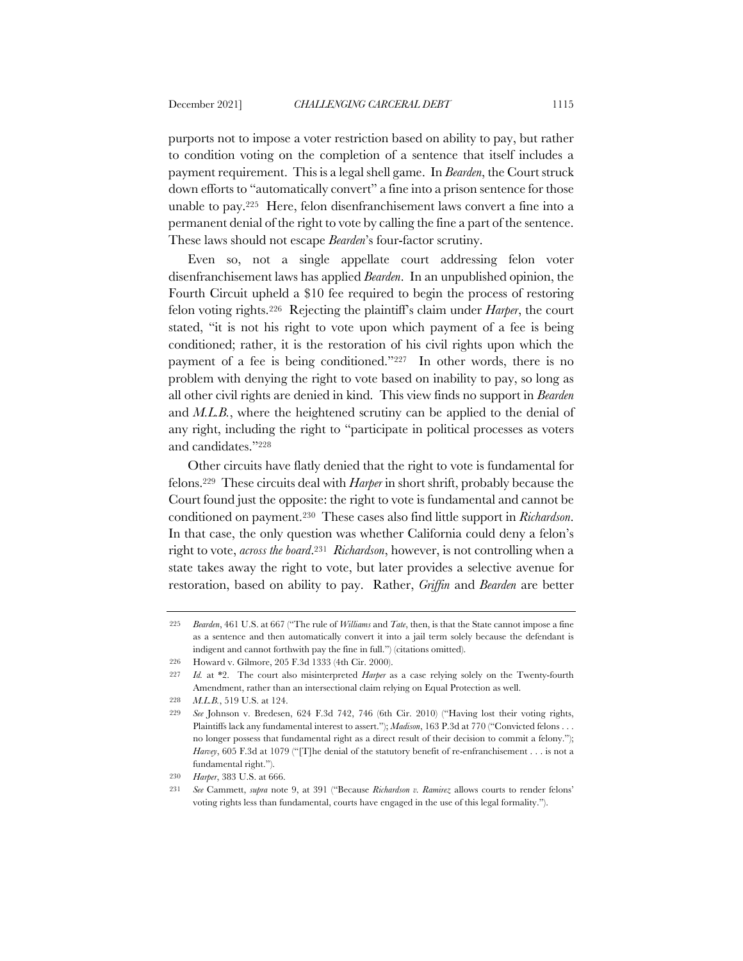purports not to impose a voter restriction based on ability to pay, but rather to condition voting on the completion of a sentence that itself includes a payment requirement. This is a legal shell game. In *Bearden*, the Court struck down efforts to "automatically convert" a fine into a prison sentence for those unable to pay.225 Here, felon disenfranchisement laws convert a fine into a permanent denial of the right to vote by calling the fine a part of the sentence. These laws should not escape *Bearden*'s four-factor scrutiny.

Even so, not a single appellate court addressing felon voter disenfranchisement laws has applied *Bearden*. In an unpublished opinion, the Fourth Circuit upheld a \$10 fee required to begin the process of restoring felon voting rights.226 Rejecting the plaintiff's claim under *Harper*, the court stated, "it is not his right to vote upon which payment of a fee is being conditioned; rather, it is the restoration of his civil rights upon which the payment of a fee is being conditioned."227 In other words, there is no problem with denying the right to vote based on inability to pay, so long as all other civil rights are denied in kind. This view finds no support in *Bearden*  and *M.L.B.*, where the heightened scrutiny can be applied to the denial of any right, including the right to "participate in political processes as voters and candidates."228

Other circuits have flatly denied that the right to vote is fundamental for felons.229 These circuits deal with *Harper* in short shrift, probably because the Court found just the opposite: the right to vote is fundamental and cannot be conditioned on payment.230 These cases also find little support in *Richardson*. In that case, the only question was whether California could deny a felon's right to vote, *across the board*.231 *Richardson*, however, is not controlling when a state takes away the right to vote, but later provides a selective avenue for restoration, based on ability to pay. Rather, *Griffin* and *Bearden* are better

<sup>225</sup> *Bearden*, 461 U.S. at 667 ("The rule of *Williams* and *Tate*, then, is that the State cannot impose a fine as a sentence and then automatically convert it into a jail term solely because the defendant is indigent and cannot forthwith pay the fine in full.") (citations omitted).

<sup>226</sup> Howard v. Gilmore, 205 F.3d 1333 (4th Cir. 2000).

<sup>227</sup> *Id.* at \*2. The court also misinterpreted *Harper* as a case relying solely on the Twenty-fourth Amendment, rather than an intersectional claim relying on Equal Protection as well.

<sup>228</sup> *M.L.B.*, 519 U.S. at 124.

<sup>229</sup> *See* Johnson v. Bredesen, 624 F.3d 742, 746 (6th Cir. 2010) ("Having lost their voting rights, Plaintiffs lack any fundamental interest to assert."); *Madison*, 163 P.3d at 770 ("Convicted felons . . . no longer possess that fundamental right as a direct result of their decision to commit a felony."); *Harvey*, 605 F.3d at 1079 ("[T]he denial of the statutory benefit of re-enfranchisement . . . is not a fundamental right.").

<sup>230</sup> *Harper*, 383 U.S. at 666.

<sup>231</sup> *See* Cammett, *supra* note 9, at 391 ("Because *Richardson v. Ramirez* allows courts to render felons' voting rights less than fundamental, courts have engaged in the use of this legal formality.").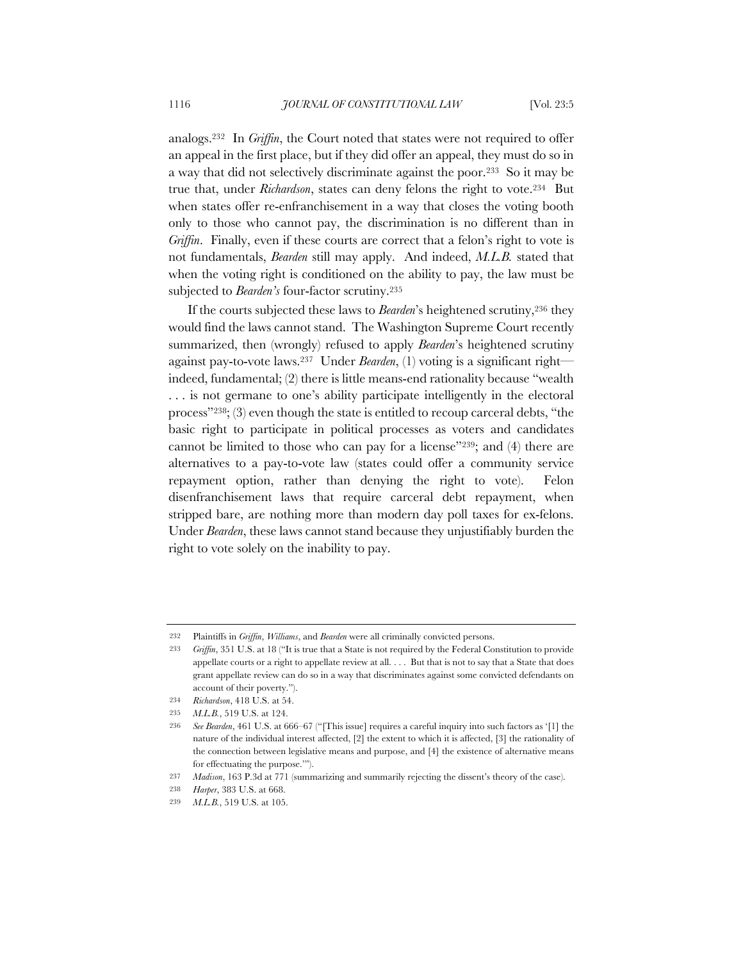analogs.232 In *Griffin*, the Court noted that states were not required to offer an appeal in the first place, but if they did offer an appeal, they must do so in a way that did not selectively discriminate against the poor.233 So it may be true that, under *Richardson*, states can deny felons the right to vote.234 But when states offer re-enfranchisement in a way that closes the voting booth only to those who cannot pay, the discrimination is no different than in *Griffin*. Finally, even if these courts are correct that a felon's right to vote is not fundamentals, *Bearden* still may apply. And indeed, *M.L.B.* stated that when the voting right is conditioned on the ability to pay, the law must be subjected to *Bearden's* four-factor scrutiny.235

If the courts subjected these laws to *Bearden*'s heightened scrutiny,236 they would find the laws cannot stand. The Washington Supreme Court recently summarized, then (wrongly) refused to apply *Bearden*'s heightened scrutiny against pay-to-vote laws.237 Under *Bearden*, (1) voting is a significant right indeed, fundamental; (2) there is little means-end rationality because "wealth . . . is not germane to one's ability participate intelligently in the electoral process"238; (3) even though the state is entitled to recoup carceral debts, "the basic right to participate in political processes as voters and candidates cannot be limited to those who can pay for a license"239; and (4) there are alternatives to a pay-to-vote law (states could offer a community service repayment option, rather than denying the right to vote). Felon disenfranchisement laws that require carceral debt repayment, when stripped bare, are nothing more than modern day poll taxes for ex-felons. Under *Bearden*, these laws cannot stand because they unjustifiably burden the right to vote solely on the inability to pay.

<sup>232</sup> Plaintiffs in *Griffin*, *Williams*, and *Bearden* were all criminally convicted persons.

<sup>233</sup> *Griffin*, 351 U.S. at 18 ("It is true that a State is not required by the Federal Constitution to provide appellate courts or a right to appellate review at all. . . . But that is not to say that a State that does grant appellate review can do so in a way that discriminates against some convicted defendants on account of their poverty.").

<sup>234</sup> *Richardson*, 418 U.S. at 54.

<sup>235</sup> *M.L.B.*, 519 U.S. at 124.

<sup>236</sup> *See Bearden*, 461 U.S. at 666–67 ("[This issue] requires a careful inquiry into such factors as '[1] the nature of the individual interest affected, [2] the extent to which it is affected, [3] the rationality of the connection between legislative means and purpose, and [4] the existence of alternative means for effectuating the purpose.'").

<sup>237</sup> *Madison*, 163 P.3d at 771 (summarizing and summarily rejecting the dissent's theory of the case).

<sup>238</sup> *Harper*, 383 U.S. at 668.

<sup>239</sup> *M.L.B.*, 519 U.S. at 105.